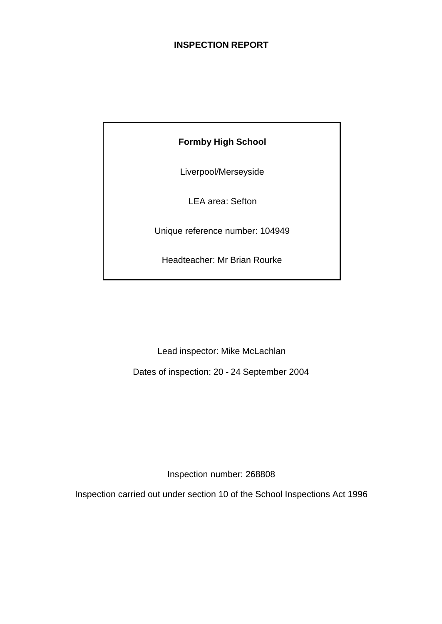## **INSPECTION REPORT**

## **Formby High School**

Liverpool/Merseyside

LEA area: Sefton

Unique reference number: 104949

Headteacher: Mr Brian Rourke

Lead inspector: Mike McLachlan

Dates of inspection: 20 - 24 September 2004

Inspection number: 268808

Inspection carried out under section 10 of the School Inspections Act 1996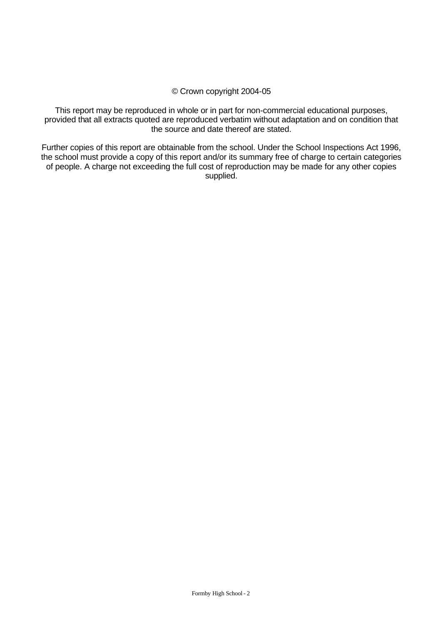#### © Crown copyright 2004-05

This report may be reproduced in whole or in part for non-commercial educational purposes, provided that all extracts quoted are reproduced verbatim without adaptation and on condition that the source and date thereof are stated.

Further copies of this report are obtainable from the school. Under the School Inspections Act 1996, the school must provide a copy of this report and/or its summary free of charge to certain categories of people. A charge not exceeding the full cost of reproduction may be made for any other copies supplied.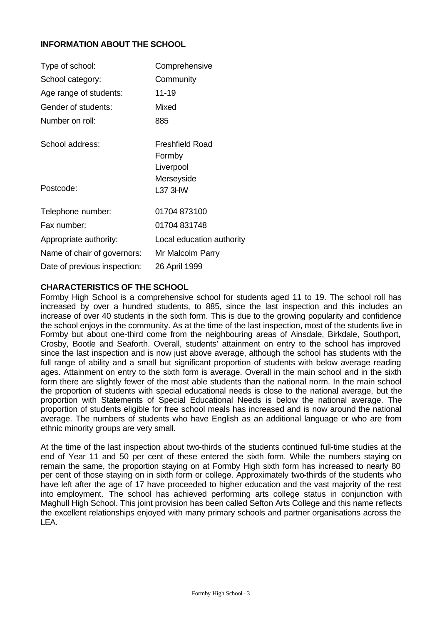## **INFORMATION ABOUT THE SCHOOL**

| Type of school:              | Comprehensive                          |
|------------------------------|----------------------------------------|
| School category:             | Community                              |
| Age range of students:       | $11 - 19$                              |
| Gender of students:          | Mixed                                  |
| Number on roll:              | 885                                    |
| School address:              | Freshfield Road<br>Formby<br>Liverpool |
| Postcode:                    | Merseyside<br><b>L37 3HW</b>           |
| Telephone number:            | 01704 873100                           |
| Fax number:                  | 01704 831748                           |
| Appropriate authority:       | Local education authority              |
| Name of chair of governors:  | Mr Malcolm Parry                       |
| Date of previous inspection: | 26 April 1999                          |

## **CHARACTERISTICS OF THE SCHOOL**

Formby High School is a comprehensive school for students aged 11 to 19. The school roll has increased by over a hundred students, to 885, since the last inspection and this includes an increase of over 40 students in the sixth form. This is due to the growing popularity and confidence the school enjoys in the community. As at the time of the last inspection, most of the students live in Formby but about one-third come from the neighbouring areas of Ainsdale, Birkdale, Southport, Crosby, Bootle and Seaforth. Overall, students' attainment on entry to the school has improved since the last inspection and is now just above average, although the school has students with the full range of ability and a small but significant proportion of students with below average reading ages. Attainment on entry to the sixth form is average. Overall in the main school and in the sixth form there are slightly fewer of the most able students than the national norm. In the main school the proportion of students with special educational needs is close to the national average, but the proportion with Statements of Special Educational Needs is below the national average. The proportion of students eligible for free school meals has increased and is now around the national average. The numbers of students who have English as an additional language or who are from ethnic minority groups are very small.

At the time of the last inspection about two-thirds of the students continued full-time studies at the end of Year 11 and 50 per cent of these entered the sixth form. While the numbers staying on remain the same, the proportion staying on at Formby High sixth form has increased to nearly 80 per cent of those staying on in sixth form or college. Approximately two-thirds of the students who have left after the age of 17 have proceeded to higher education and the vast majority of the rest into employment. The school has achieved performing arts college status in conjunction with Maghull High School. This joint provision has been called Sefton Arts College and this name reflects the excellent relationships enjoyed with many primary schools and partner organisations across the LEA.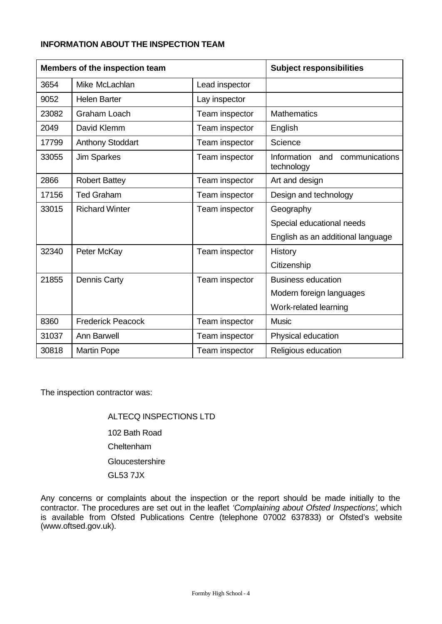## **INFORMATION ABOUT THE INSPECTION TEAM**

| Members of the inspection team |                          | <b>Subject responsibilities</b> |                                                           |
|--------------------------------|--------------------------|---------------------------------|-----------------------------------------------------------|
| 3654                           | Mike McLachlan           | Lead inspector                  |                                                           |
| 9052                           | <b>Helen Barter</b>      | Lay inspector                   |                                                           |
| 23082                          | Graham Loach             | Team inspector                  | <b>Mathematics</b>                                        |
| 2049                           | David Klemm              | Team inspector                  | English                                                   |
| 17799                          | <b>Anthony Stoddart</b>  | Team inspector                  | Science                                                   |
| 33055                          | <b>Jim Sparkes</b>       | Team inspector                  | <b>Information</b><br>communications<br>and<br>technology |
| 2866                           | <b>Robert Battey</b>     | Team inspector                  | Art and design                                            |
| 17156                          | <b>Ted Graham</b>        | Team inspector                  | Design and technology                                     |
| 33015                          | <b>Richard Winter</b>    | Team inspector                  | Geography                                                 |
|                                |                          |                                 | Special educational needs                                 |
|                                |                          |                                 | English as an additional language                         |
| 32340                          | Peter McKay              | Team inspector                  | History                                                   |
|                                |                          |                                 | Citizenship                                               |
| 21855                          | <b>Dennis Carty</b>      | Team inspector                  | <b>Business education</b>                                 |
|                                |                          |                                 | Modern foreign languages                                  |
|                                |                          |                                 | Work-related learning                                     |
| 8360                           | <b>Frederick Peacock</b> | Team inspector                  | <b>Music</b>                                              |
| 31037                          | <b>Ann Barwell</b>       | Team inspector                  | Physical education                                        |
| 30818                          | <b>Martin Pope</b>       | Team inspector                  | Religious education                                       |

The inspection contractor was:

ALTECQ INSPECTIONS LTD 102 Bath Road Cheltenham **Gloucestershire** GL53 7JX

Any concerns or complaints about the inspection or the report should be made initially to the contractor. The procedures are set out in the leaflet *'Complaining about Ofsted Inspections'*, which is available from Ofsted Publications Centre (telephone 07002 637833) or Ofsted's website (www.oftsed.gov.uk).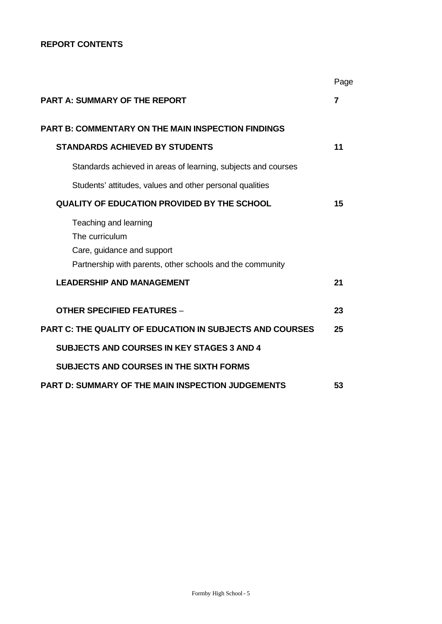## **REPORT CONTENTS**

|                                                                                                                                    | Page |
|------------------------------------------------------------------------------------------------------------------------------------|------|
| <b>PART A: SUMMARY OF THE REPORT</b>                                                                                               | 7    |
| <b>PART B: COMMENTARY ON THE MAIN INSPECTION FINDINGS</b>                                                                          |      |
| <b>STANDARDS ACHIEVED BY STUDENTS</b>                                                                                              | 11   |
| Standards achieved in areas of learning, subjects and courses                                                                      |      |
| Students' attitudes, values and other personal qualities                                                                           |      |
| <b>QUALITY OF EDUCATION PROVIDED BY THE SCHOOL</b>                                                                                 | 15   |
| Teaching and learning<br>The curriculum<br>Care, guidance and support<br>Partnership with parents, other schools and the community |      |
| <b>LEADERSHIP AND MANAGEMENT</b>                                                                                                   | 21   |
| <b>OTHER SPECIFIED FEATURES -</b>                                                                                                  | 23   |
| <b>PART C: THE QUALITY OF EDUCATION IN SUBJECTS AND COURSES</b>                                                                    | 25   |
| <b>SUBJECTS AND COURSES IN KEY STAGES 3 AND 4</b>                                                                                  |      |
| <b>SUBJECTS AND COURSES IN THE SIXTH FORMS</b>                                                                                     |      |
| PART D: SUMMARY OF THE MAIN INSPECTION JUDGEMENTS                                                                                  | 53   |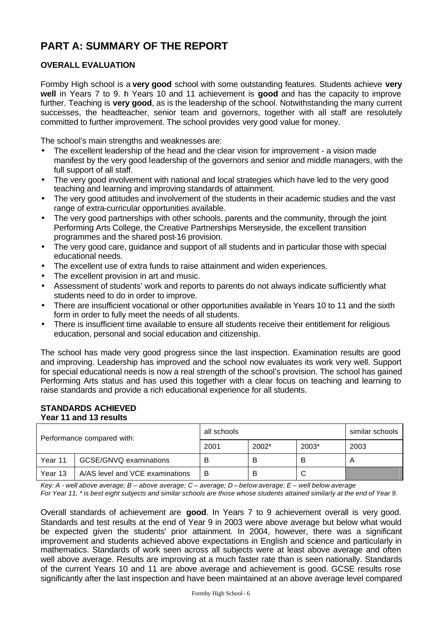# **PART A: SUMMARY OF THE REPORT**

## **OVERALL EVALUATION**

Formby High school is a **very good** school with some outstanding features. Students achieve **very well** in Years 7 to 9. In Years 10 and 11 achievement is **good** and has the capacity to improve further. Teaching is **very good**, as is the leadership of the school. Notwithstanding the many current successes, the headteacher, senior team and governors, together with all staff are resolutely committed to further improvement. The school provides very good value for money.

The school's main strengths and weaknesses are:

- The excellent leadership of the head and the clear vision for improvement a vision made manifest by the very good leadership of the governors and senior and middle managers, with the full support of all staff.
- The very good involvement with national and local strategies which have led to the very good teaching and learning and improving standards of attainment.
- The very good attitudes and involvement of the students in their academic studies and the vast range of extra-curricular opportunities available.
- The very good partnerships with other schools, parents and the community, through the joint Performing Arts College, the Creative Partnerships Merseyside, the excellent transition programmes and the shared post-16 provision.
- The very good care, guidance and support of all students and in particular those with special educational needs.
- The excellent use of extra funds to raise attainment and widen experiences.
- The excellent provision in art and music.
- Assessment of students' work and reports to parents do not always indicate sufficiently what students need to do in order to improve.
- There are insufficient vocational or other opportunities available in Years 10 to 11 and the sixth form in order to fully meet the needs of all students.
- There is insufficient time available to ensure all students receive their entitlement for religious education, personal and social education and citizenship.

The school has made very good progress since the last inspection. Examination results are good and improving. Leadership has improved and the school now evaluates its work very well. Support for special educational needs is now a real strength of the school's provision. The school has gained Performing Arts status and has used this together with a clear focus on teaching and learning to raise standards and provide a rich educational experience for all students.

#### **STANDARDS ACHIEVED Year 11 and 13 results**

| Performance compared with: |                                 | all schools | similar schools |       |      |
|----------------------------|---------------------------------|-------------|-----------------|-------|------|
|                            |                                 | 2001        | 2002*           | 2003* | 2003 |
| Year 11                    | GCSE/GNVQ examinations          | в           | B               | В     | A    |
| Year 13                    | A/AS level and VCE examinations | в           | В               | C     |      |

*Key: A - well above average; B – above average; C – average; D – below average; E – well below average*

*For Year 11, \* is best eight subjects and similar schools are those whose students attained similarly at the end of Year 9.*

Overall standards of achievement are **good**. In Years 7 to 9 achievement overall is very good. Standards and test results at the end of Year 9 in 2003 were above average but below what would be expected given the students' prior attainment. In 2004, however, there was a significant improvement and students achieved above expectations in English and science and particularly in mathematics. Standards of work seen across all subjects were at least above average and often well above average. Results are improving at a much faster rate than is seen nationally. Standards of the current Years 10 and 11 are above average and achievement is good. GCSE results rose significantly after the last inspection and have been maintained at an above average level compared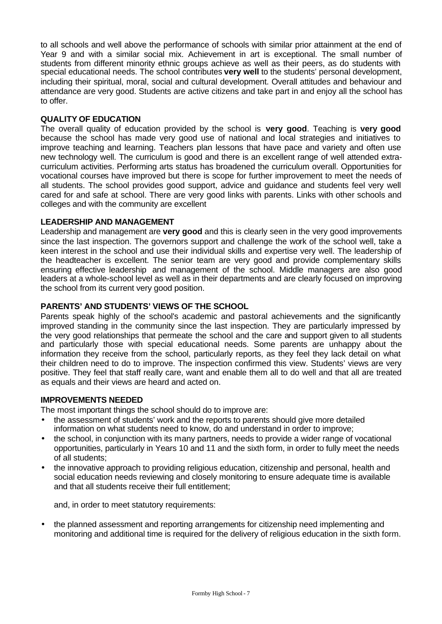to all schools and well above the performance of schools with similar prior attainment at the end of Year 9 and with a similar social mix. Achievement in art is exceptional. The small number of students from different minority ethnic groups achieve as well as their peers, as do students with special educational needs. The school contributes **very well** to the students' personal development, including their spiritual, moral, social and cultural development. Overall attitudes and behaviour and attendance are very good. Students are active citizens and take part in and enjoy all the school has to offer.

## **QUALITY OF EDUCATION**

The overall quality of education provided by the school is **very good**. Teaching is **very good**  because the school has made very good use of national and local strategies and initiatives to improve teaching and learning. Teachers plan lessons that have pace and variety and often use new technology well. The curriculum is good and there is an excellent range of well attended extracurriculum activities. Performing arts status has broadened the curriculum overall. Opportunities for vocational courses have improved but there is scope for further improvement to meet the needs of all students. The school provides good support, advice and guidance and students feel very well cared for and safe at school. There are very good links with parents. Links with other schools and colleges and with the community are excellent

## **LEADERSHIP AND MANAGEMENT**

Leadership and management are **very good** and this is clearly seen in the very good improvements since the last inspection. The governors support and challenge the work of the school well, take a keen interest in the school and use their individual skills and expertise very well. The leadership of the headteacher is excellent. The senior team are very good and provide complementary skills ensuring effective leadership and management of the school. Middle managers are also good leaders at a whole-school level as well as in their departments and are clearly focused on improving the school from its current very good position.

## **PARENTS' AND STUDENTS' VIEWS OF THE SCHOOL**

Parents speak highly of the school's academic and pastoral achievements and the significantly improved standing in the community since the last inspection. They are particularly impressed by the very good relationships that permeate the school and the care and support given to all students and particularly those with special educational needs. Some parents are unhappy about the information they receive from the school, particularly reports, as they feel they lack detail on what their children need to do to improve. The inspection confirmed this view. Students' views are very positive. They feel that staff really care, want and enable them all to do well and that all are treated as equals and their views are heard and acted on.

## **IMPROVEMENTS NEEDED**

The most important things the school should do to improve are:

- the assessment of students' work and the reports to parents should give more detailed information on what students need to know, do and understand in order to improve;
- the school, in conjunction with its many partners, needs to provide a wider range of vocational opportunities, particularly in Years 10 and 11 and the sixth form, in order to fully meet the needs of all students;
- the innovative approach to providing religious education, citizenship and personal, health and social education needs reviewing and closely monitoring to ensure adequate time is available and that all students receive their full entitlement;

and, in order to meet statutory requirements:

• the planned assessment and reporting arrangements for citizenship need implementing and monitoring and additional time is required for the delivery of religious education in the sixth form.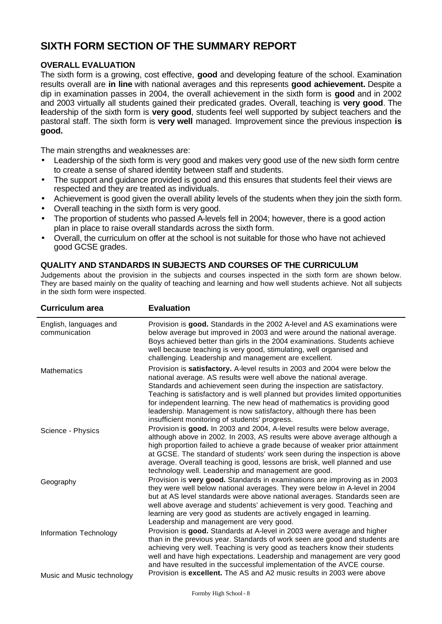# **SIXTH FORM SECTION OF THE SUMMARY REPORT**

## **OVERALL EVALUATION**

The sixth form is a growing, cost effective, **good** and developing feature of the school. Examination results overall are **in line** with national averages and this represents **good achievement.** Despite a dip in examination passes in 2004, the overall achievement in the sixth form is **good** and in 2002 and 2003 virtually all students gained their predicated grades. Overall, teaching is **very good**. The **l**eadership of the sixth form is **very good**, students feel well supported by subject teachers and the pastoral staff. The sixth form is **very well** managed. Improvement since the previous inspection **is good.**

The main strengths and weaknesses are:

- Leadership of the sixth form is very good and makes very good use of the new sixth form centre to create a sense of shared identity between staff and students.
- The support and quidance provided is good and this ensures that students feel their views are respected and they are treated as individuals.
- Achievement is good given the overall ability levels of the students when they join the sixth form.
- Overall teaching in the sixth form is very good.
- The proportion of students who passed A-levels fell in 2004; however, there is a good action plan in place to raise overall standards across the sixth form.
- Overall, the curriculum on offer at the school is not suitable for those who have not achieved good GCSE grades.

## **QUALITY AND STANDARDS IN SUBJECTS AND COURSES OF THE CURRICULUM**

Judgements about the provision in the subjects and courses inspected in the sixth form are shown below. They are based mainly on the quality of teaching and learning and how well students achieve. Not all subjects in the sixth form were inspected.

| <b>Curriculum area</b>                  | <b>Evaluation</b>                                                                                                                                                                                                                                                                                                                                                                                                                                                                                                 |
|-----------------------------------------|-------------------------------------------------------------------------------------------------------------------------------------------------------------------------------------------------------------------------------------------------------------------------------------------------------------------------------------------------------------------------------------------------------------------------------------------------------------------------------------------------------------------|
| English, languages and<br>communication | Provision is good. Standards in the 2002 A-level and AS examinations were<br>below average but improved in 2003 and were around the national average.<br>Boys achieved better than girls in the 2004 examinations. Students achieve<br>well because teaching is very good, stimulating, well organised and<br>challenging. Leadership and management are excellent.                                                                                                                                               |
| <b>Mathematics</b>                      | Provision is satisfactory. A-level results in 2003 and 2004 were below the<br>national average. AS results were well above the national average.<br>Standards and achievement seen during the inspection are satisfactory.<br>Teaching is satisfactory and is well planned but provides limited opportunities<br>for independent learning. The new head of mathematics is providing good<br>leadership. Management is now satisfactory, although there has been<br>insufficient monitoring of students' progress. |
| Science - Physics                       | Provision is good. In 2003 and 2004, A-level results were below average,<br>although above in 2002. In 2003, AS results were above average although a<br>high proportion failed to achieve a grade because of weaker prior attainment<br>at GCSE. The standard of students' work seen during the inspection is above<br>average. Overall teaching is good, lessons are brisk, well planned and use<br>technology well. Leadership and management are good.                                                        |
| Geography                               | Provision is very good. Standards in examinations are improving as in 2003<br>they were well below national averages. They were below in A-level in 2004<br>but at AS level standards were above national averages. Standards seen are<br>well above average and students' achievement is very good. Teaching and<br>learning are very good as students are actively engaged in learning.<br>Leadership and management are very good.                                                                             |
| Information Technology                  | Provision is good. Standards at A-level in 2003 were average and higher<br>than in the previous year. Standards of work seen are good and students are<br>achieving very well. Teaching is very good as teachers know their students<br>well and have high expectations. Leadership and management are very good<br>and have resulted in the successful implementation of the AVCE course.                                                                                                                        |
| Music and Music technology              | Provision is excellent. The AS and A2 music results in 2003 were above                                                                                                                                                                                                                                                                                                                                                                                                                                            |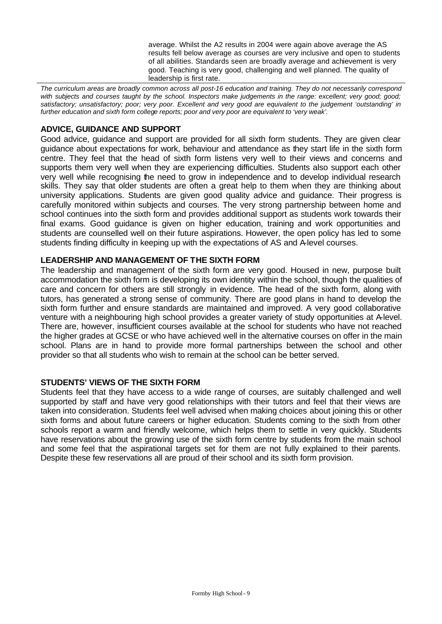average. Whilst the A2 results in 2004 were again above average the AS results fell below average as courses are very inclusive and open to students of all abilities. Standards seen are broadly average and achievement is very good. Teaching is very good, challenging and well planned. The quality of leadership is first rate.

*The curriculum areas are broadly common across all post-16 education and training. They do not necessarily correspond*  with subjects and courses taught by the school. Inspectors make judgements in the range: excellent; very good; good; *satisfactory; unsatisfactory; poor; very poor. Excellent and very good are equivalent to the judgement 'outstanding' in further education and sixth form college reports; poor and very poor are equivalent to 'very weak'.*

## **ADVICE, GUIDANCE AND SUPPORT**

Good advice, guidance and support are provided for all sixth form students. They are given clear guidance about expectations for work, behaviour and attendance as they start life in the sixth form centre. They feel that the head of sixth form listens very well to their views and concerns and supports them very well when they are experiencing difficulties. Students also support each other very well while recognising the need to grow in independence and to develop individual research skills. They say that older students are often a great help to them when they are thinking about university applications. Students are given good quality advice and guidance. Their progress is carefully monitored within subjects and courses. The very strong partnership between home and school continues into the sixth form and provides additional support as students work towards their final exams. Good guidance is given on higher education, training and work opportunities and students are counselled well on their future aspirations. However, the open policy has led to some students finding difficulty in keeping up with the expectations of AS and A-level courses.

## **LEADERSHIP AND MANAGEMENT OF THE SIXTH FORM**

The leadership and management of the sixth form are very good. Housed in new, purpose built accommodation the sixth form is developing its own identity within the school, though the qualities of care and concern for others are still strongly in evidence. The head of the sixth form, along with tutors, has generated a strong sense of community. There are good plans in hand to develop the sixth form further and ensure standards are maintained and improved. A very good collaborative venture with a neighbouring high school provides a greater variety of study opportunities at A-level. There are, however, insufficient courses available at the school for students who have not reached the higher grades at GCSE or who have achieved well in the alternative courses on offer in the main school. Plans are in hand to provide more formal partnerships between the school and other provider so that all students who wish to remain at the school can be better served.

## **STUDENTS' VIEWS OF THE SIXTH FORM**

Students feel that they have access to a wide range of courses, are suitably challenged and well supported by staff and have very good relationships with their tutors and feel that their views are taken into consideration. Students feel well advised when making choices about joining this or other sixth forms and about future careers or higher education. Students coming to the sixth from other schools report a warm and friendly welcome, which helps them to settle in very quickly. Students have reservations about the growing use of the sixth form centre by students from the main school and some feel that the aspirational targets set for them are not fully explained to their parents. Despite these few reservations all are proud of their school and its sixth form provision.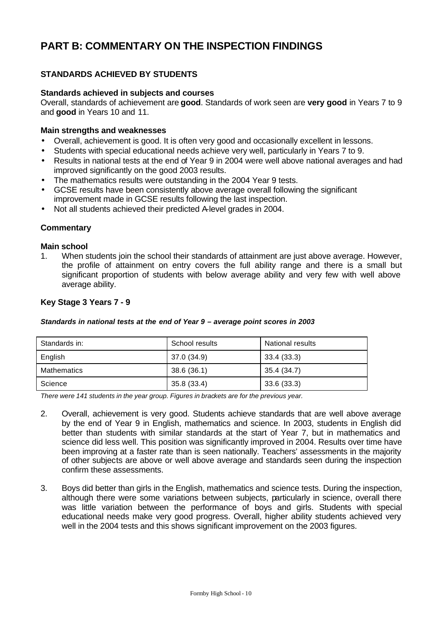# **PART B: COMMENTARY ON THE INSPECTION FINDINGS**

## **STANDARDS ACHIEVED BY STUDENTS**

#### **Standards achieved in subjects and courses**

Overall, standards of achievement are **good**. Standards of work seen are **very good** in Years 7 to 9 and **good** in Years 10 and 11.

#### **Main strengths and weaknesses**

- Overall, achievement is good. It is often very good and occasionally excellent in lessons.
- Students with special educational needs achieve very well, particularly in Years 7 to 9.
- Results in national tests at the end of Year 9 in 2004 were well above national averages and had improved significantly on the good 2003 results.
- The mathematics results were outstanding in the 2004 Year 9 tests.
- GCSE results have been consistently above average overall following the significant improvement made in GCSE results following the last inspection.
- Not all students achieved their predicted A-level grades in 2004.

## **Commentary**

#### **Main school**

1. When students join the school their standards of attainment are just above average. However, the profile of attainment on entry covers the full ability range and there is a small but significant proportion of students with below average ability and very few with well above average ability.

## **Key Stage 3 Years 7 - 9**

#### *Standards in national tests at the end of Year 9 – average point scores in 2003*

| Standards in: | School results | National results |
|---------------|----------------|------------------|
| English       | 37.0 (34.9)    | 33.4 (33.3)      |
| Mathematics   | 38.6(36.1)     | 35.4 (34.7)      |
| Science       | 35.8 (33.4)    | 33.6(33.3)       |

*There were 141 students in the year group. Figures in brackets are for the previous year.*

- 2. Overall, achievement is very good. Students achieve standards that are well above average by the end of Year 9 in English, mathematics and science. In 2003, students in English did better than students with similar standards at the start of Year 7, but in mathematics and science did less well. This position was significantly improved in 2004. Results over time have been improving at a faster rate than is seen nationally. Teachers' assessments in the majority of other subjects are above or well above average and standards seen during the inspection confirm these assessments.
- 3. Boys did better than girls in the English, mathematics and science tests. During the inspection, although there were some variations between subjects, particularly in science, overall there was little variation between the performance of boys and girls. Students with special educational needs make very good progress. Overall, higher ability students achieved very well in the 2004 tests and this shows significant improvement on the 2003 figures.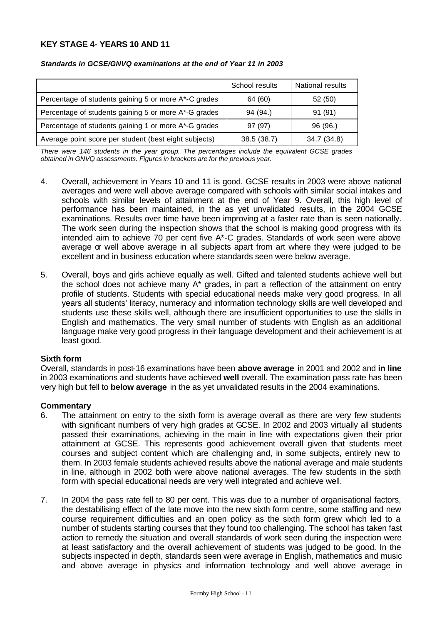## **KEY STAGE 4- YEARS 10 AND 11**

|                                                       | School results | National results |
|-------------------------------------------------------|----------------|------------------|
| Percentage of students gaining 5 or more A*-C grades  | 64 (60)        | 52 (50)          |
| Percentage of students gaining 5 or more A*-G grades  | 94 (94.)       | 91(91)           |
| Percentage of students gaining 1 or more A*-G grades  | 97 (97)        | 96(96.)          |
| Average point score per student (best eight subjects) | 38.5(38.7)     | 34.7 (34.8)      |

#### *Standards in GCSE/GNVQ examinations at the end of Year 11 in 2003*

*There were 146 students in the year group. The percentages include the equivalent GCSE grades obtained in GNVQ assessments. Figures in brackets are for the previous year.*

- 4. Overall, achievement in Years 10 and 11 is good. GCSE results in 2003 were above national averages and were well above average compared with schools with similar social intakes and schools with similar levels of attainment at the end of Year 9. Overall, this high level of performance has been maintained, in the as yet unvalidated results, in the 2004 GCSE examinations. Results over time have been improving at a faster rate than is seen nationally. The work seen during the inspection shows that the school is making good progress with its intended aim to achieve 70 per cent five A\*-C grades. Standards of work seen were above average or well above average in all subjects apart from art where they were judged to be excellent and in business education where standards seen were below average.
- 5. Overall, boys and girls achieve equally as well. Gifted and talented students achieve well but the school does not achieve many A\* grades, in part a reflection of the attainment on entry profile of students. Students with special educational needs make very good progress. In all years all students' literacy, numeracy and information technology skills are well developed and students use these skills well, although there are insufficient opportunities to use the skills in English and mathematics. The very small number of students with English as an additional language make very good progress in their language development and their achievement is at least good.

#### **Sixth form**

Overall, standards in post-16 examinations have been **above average** in 2001 and 2002 and **in line** in 2003 examinations and students have achieved **well** overall. The examination pass rate has been very high but fell to **below average** in the as yet unvalidated results in the 2004 examinations.

- 6. The attainment on entry to the sixth form is average overall as there are very few students with significant numbers of very high grades at GCSE. In 2002 and 2003 virtually all students passed their examinations, achieving in the main in line with expectations given their prior attainment at GCSE. This represents good achievement overall given that students meet courses and subject content which are challenging and, in some subjects, entirely new to them. In 2003 female students achieved results above the national average and male students in line, although in 2002 both were above national averages. The few students in the sixth form with special educational needs are very well integrated and achieve well.
- 7. In 2004 the pass rate fell to 80 per cent. This was due to a number of organisational factors, the destabilising effect of the late move into the new sixth form centre, some staffing and new course requirement difficulties and an open policy as the sixth form grew which led to a number of students starting courses that they found too challenging. The school has taken fast action to remedy the situation and overall standards of work seen during the inspection were at least satisfactory and the overall achievement of students was judged to be good. In the subjects inspected in depth, standards seen were average in English, mathematics and music and above average in physics and information technology and well above average in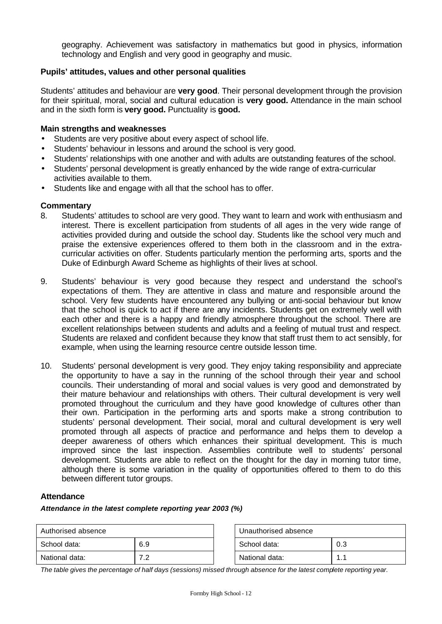geography. Achievement was satisfactory in mathematics but good in physics, information technology and English and very good in geography and music.

## **Pupils' attitudes, values and other personal qualities**

Students' attitudes and behaviour are **very good**. Their personal development through the provision for their spiritual, moral, social and cultural education is **very good.** Attendance in the main school and in the sixth form is **very good.** Punctuality is **good.**

#### **Main strengths and weaknesses**

- Students are very positive about every aspect of school life.
- Students' behaviour in lessons and around the school is very good.
- Students' relationships with one another and with adults are outstanding features of the school.
- Students' personal development is greatly enhanced by the wide range of extra-curricular activities available to them.
- Students like and engage with all that the school has to offer.

#### **Commentary**

- 8. Students' attitudes to school are very good. They want to learn and work with enthusiasm and interest. There is excellent participation from students of all ages in the very wide range of activities provided during and outside the school day. Students like the school very much and praise the extensive experiences offered to them both in the classroom and in the extracurricular activities on offer. Students particularly mention the performing arts, sports and the Duke of Edinburgh Award Scheme as highlights of their lives at school.
- 9. Students' behaviour is very good because they respect and understand the school's expectations of them. They are attentive in class and mature and responsible around the school. Very few students have encountered any bullying or anti-social behaviour but know that the school is quick to act if there are any incidents. Students get on extremely well with each other and there is a happy and friendly atmosphere throughout the school. There are excellent relationships between students and adults and a feeling of mutual trust and respect. Students are relaxed and confident because they know that staff trust them to act sensibly, for example, when using the learning resource centre outside lesson time.
- 10. Students' personal development is very good. They enjoy taking responsibility and appreciate the opportunity to have a say in the running of the school through their year and school councils. Their understanding of moral and social values is very good and demonstrated by their mature behaviour and relationships with others. Their cultural development is very well promoted throughout the curriculum and they have good knowledge of cultures other than their own. Participation in the performing arts and sports make a strong contribution to students' personal development. Their social, moral and cultural development is very well promoted through all aspects of practice and performance and helps them to develop a deeper awareness of others which enhances their spiritual development. This is much improved since the last inspection. Assemblies contribute well to students' personal development. Students are able to reflect on the thought for the day in morning tutor time, although there is some variation in the quality of opportunities offered to them to do this between different tutor groups.

#### **Attendance**

*Attendance in the latest complete reporting year 2003 (%)*

| Authorised absence |            | Unauthorised absence |     |  |
|--------------------|------------|----------------------|-----|--|
| School data:       | 6.9        | School data:         | 0.3 |  |
| National data:     | ר י<br>ے . | National data:       |     |  |

*The table gives the percentage of half days (sessions) missed through absence for the latest complete reporting year.*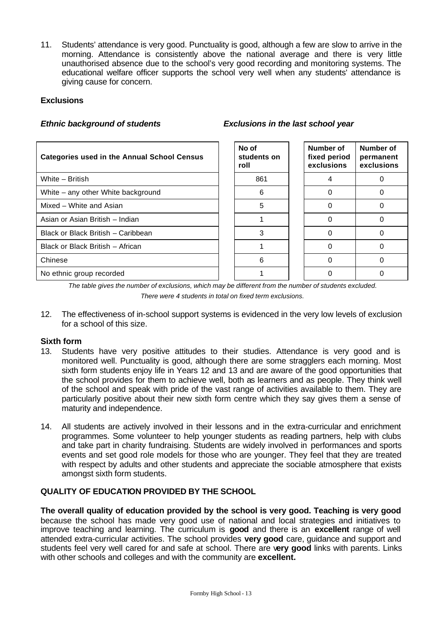11. Students' attendance is very good. Punctuality is good, although a few are slow to arrive in the morning. Attendance is consistently above the national average and there is very little unauthorised absence due to the school's very good recording and monitoring systems. The educational welfare officer supports the school very well when any students' attendance is giving cause for concern.

## **Exclusions**

## *Ethnic background of students Exclusions in the last school year*

| <b>Categories used in the Annual School Census</b> | No of<br>students on<br>roll | Number of<br>fixed period<br>exclusions | Number of<br>permanent<br>exclusions |
|----------------------------------------------------|------------------------------|-----------------------------------------|--------------------------------------|
| White - British                                    | 861                          |                                         |                                      |
| White – any other White background                 | 6                            |                                         |                                      |
| Mixed - White and Asian                            | 5                            |                                         |                                      |
| Asian or Asian British - Indian                    |                              |                                         |                                      |
| Black or Black British - Caribbean                 | 3                            | 0                                       |                                      |
| Black or Black British - African                   |                              |                                         |                                      |
| Chinese                                            | 6                            |                                         |                                      |
| No ethnic group recorded                           |                              |                                         |                                      |

*The table gives the number of exclusions, which may be different from the number of students excluded. There were 4 students in total on fixed term exclusions.*

12. The effectiveness of in-school support systems is evidenced in the very low levels of exclusion for a school of this size.

## **Sixth form**

- 13. Students have very positive attitudes to their studies. Attendance is very good and is monitored well. Punctuality is good, although there are some stragglers each morning. Most sixth form students enjoy life in Years 12 and 13 and are aware of the good opportunities that the school provides for them to achieve well, both as learners and as people. They think well of the school and speak with pride of the vast range of activities available to them. They are particularly positive about their new sixth form centre which they say gives them a sense of maturity and independence.
- 14. All students are actively involved in their lessons and in the extra-curricular and enrichment programmes. Some volunteer to help younger students as reading partners, help with clubs and take part in charity fundraising. Students are widely involved in performances and sports events and set good role models for those who are younger. They feel that they are treated with respect by adults and other students and appreciate the sociable atmosphere that exists amongst sixth form students.

## **QUALITY OF EDUCATION PROVIDED BY THE SCHOOL**

**The overall quality of education provided by the school is very good. Teaching is very good**  because the school has made very good use of national and local strategies and initiatives to improve teaching and learning. The curriculum is **good** and there is an **excellent** range of well attended extra-curricular activities. The school provides **very good** care, guidance and support and students feel very well cared for and safe at school. There are v**ery good** links with parents. Links with other schools and colleges and with the community are **excellent.**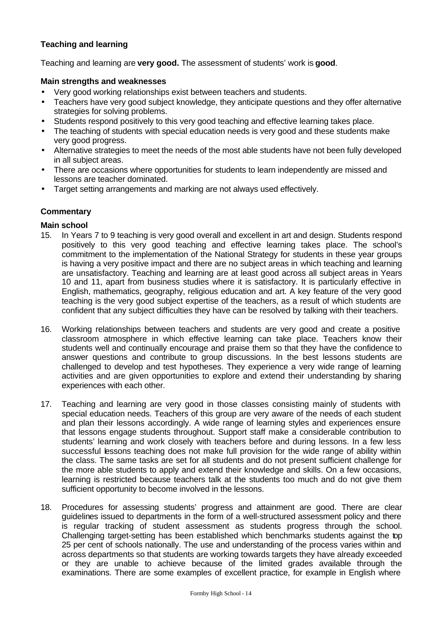## **Teaching and learning**

Teaching and learning are **very good.** The assessment of students' work is **good**.

#### **Main strengths and weaknesses**

- Very good working relationships exist between teachers and students.
- Teachers have very good subject knowledge, they anticipate questions and they offer alternative strategies for solving problems.
- Students respond positively to this very good teaching and effective learning takes place.
- The teaching of students with special education needs is very good and these students make very good progress.
- Alternative strategies to meet the needs of the most able students have not been fully developed in all subject areas.
- There are occasions where opportunities for students to learn independently are missed and lessons are teacher dominated.
- Target setting arrangements and marking are not always used effectively.

## **Commentary**

#### **Main school**

- 15. In Years 7 to 9 teaching is very good overall and excellent in art and design. Students respond positively to this very good teaching and effective learning takes place. The school's commitment to the implementation of the National Strategy for students in these year groups is having a very positive impact and there are no subject areas in which teaching and learning are unsatisfactory. Teaching and learning are at least good across all subject areas in Years 10 and 11, apart from business studies where it is satisfactory. It is particularly effective in English, mathematics, geography, religious education and art. A key feature of the very good teaching is the very good subject expertise of the teachers, as a result of which students are confident that any subject difficulties they have can be resolved by talking with their teachers.
- 16. Working relationships between teachers and students are very good and create a positive classroom atmosphere in which effective learning can take place. Teachers know their students well and continually encourage and praise them so that they have the confidence to answer questions and contribute to group discussions. In the best lessons students are challenged to develop and test hypotheses. They experience a very wide range of learning activities and are given opportunities to explore and extend their understanding by sharing experiences with each other.
- 17. Teaching and learning are very good in those classes consisting mainly of students with special education needs. Teachers of this group are very aware of the needs of each student and plan their lessons accordingly. A wide range of learning styles and experiences ensure that lessons engage students throughout. Support staff make a considerable contribution to students' learning and work closely with teachers before and during lessons. In a few less successful lessons teaching does not make full provision for the wide range of ability within the class. The same tasks are set for all students and do not present sufficient challenge for the more able students to apply and extend their knowledge and skills. On a few occasions, learning is restricted because teachers talk at the students too much and do not give them sufficient opportunity to become involved in the lessons.
- 18. Procedures for assessing students' progress and attainment are good. There are clear guidelines issued to departments in the form of a well-structured assessment policy and there is regular tracking of student assessment as students progress through the school. Challenging target-setting has been established which benchmarks students against the top 25 per cent of schools nationally. The use and understanding of the process varies within and across departments so that students are working towards targets they have already exceeded or they are unable to achieve because of the limited grades available through the examinations. There are some examples of excellent practice, for example in English where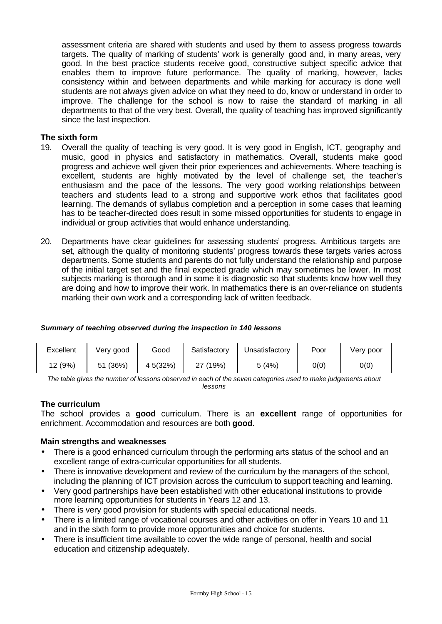assessment criteria are shared with students and used by them to assess progress towards targets. The quality of marking of students' work is generally good and, in many areas, very good. In the best practice students receive good, constructive subject specific advice that enables them to improve future performance. The quality of marking, however, lacks consistency within and between departments and while marking for accuracy is done well students are not always given advice on what they need to do, know or understand in order to improve. The challenge for the school is now to raise the standard of marking in all departments to that of the very best. Overall, the quality of teaching has improved significantly since the last inspection.

## **The sixth form**

- 19. Overall the quality of teaching is very good. It is very good in English, ICT, geography and music, good in physics and satisfactory in mathematics. Overall, students make good progress and achieve well given their prior experiences and achievements. Where teaching is excellent, students are highly motivated by the level of challenge set, the teacher's enthusiasm and the pace of the lessons. The very good working relationships between teachers and students lead to a strong and supportive work ethos that facilitates good learning. The demands of syllabus completion and a perception in some cases that learning has to be teacher-directed does result in some missed opportunities for students to engage in individual or group activities that would enhance understanding.
- 20. Departments have clear guidelines for assessing students' progress. Ambitious targets are set, although the quality of monitoring students' progress towards these targets varies across departments. Some students and parents do not fully understand the relationship and purpose of the initial target set and the final expected grade which may sometimes be lower. In most subjects marking is thorough and in some it is diagnostic so that students know how well they are doing and how to improve their work. In mathematics there is an over-reliance on students marking their own work and a corresponding lack of written feedback.

## *Summary of teaching observed during the inspection in 140 lessons*

| Excellent | Verv good   | Good      | Satisfactory | Unsatisfactorv | Poor | Verv poor |
|-----------|-------------|-----------|--------------|----------------|------|-----------|
| I2 (9%)   | (36%)<br>51 | 4 5 (32%) | 27 (19%)     | 5 (4%)         | 0(0) | 0(0)      |

*The table gives the number of lessons observed in each of the seven categories used to make judgements about lessons*

## **The curriculum**

The school provides a **good** curriculum. There is an **excellent** range of opportunities for enrichment. Accommodation and resources are both **good.**

## **Main strengths and weaknesses**

- There is a good enhanced curriculum through the performing arts status of the school and an excellent range of extra-curricular opportunities for all students.
- There is innovative development and review of the curriculum by the managers of the school, including the planning of ICT provision across the curriculum to support teaching and learning.
- Very good partnerships have been established with other educational institutions to provide more learning opportunities for students in Years 12 and 13.
- There is very good provision for students with special educational needs.
- There is a limited range of vocational courses and other activities on offer in Years 10 and 11 and in the sixth form to provide more opportunities and choice for students.
- There is insufficient time available to cover the wide range of personal, health and social education and citizenship adequately.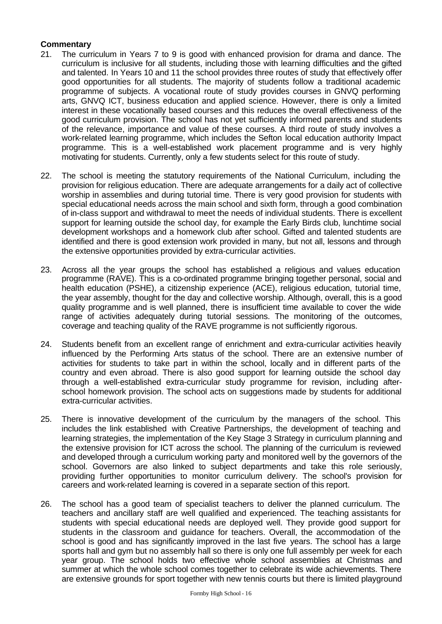- 21. The curriculum in Years 7 to 9 is good with enhanced provision for drama and dance. The curriculum is inclusive for all students, including those with learning difficulties and the gifted and talented. In Years 10 and 11 the school provides three routes of study that effectively offer good opportunities for all students. The majority of students follow a traditional academic programme of subjects. A vocational route of study provides courses in GNVQ performing arts, GNVQ ICT, business education and applied science. However, there is only a limited interest in these vocationally based courses and this reduces the overall effectiveness of the good curriculum provision. The school has not yet sufficiently informed parents and students of the relevance, importance and value of these courses. A third route of study involves a work-related learning programme, which includes the Sefton local education authority Impact programme. This is a well-established work placement programme and is very highly motivating for students. Currently, only a few students select for this route of study.
- 22. The school is meeting the statutory requirements of the National Curriculum, including the provision for religious education. There are adequate arrangements for a daily act of collective worship in assemblies and during tutorial time. There is very good provision for students with special educational needs across the main school and sixth form, through a good combination of in-class support and withdrawal to meet the needs of individual students. There is excellent support for learning outside the school day, for example the Early Birds club, lunchtime social development workshops and a homework club after school. Gifted and talented students are identified and there is good extension work provided in many, but not all, lessons and through the extensive opportunities provided by extra-curricular activities.
- 23. Across all the year groups the school has established a religious and values education programme (RAVE). This is a co-ordinated programme bringing together personal, social and health education (PSHE), a citizenship experience (ACE), religious education, tutorial time, the year assembly, thought for the day and collective worship. Although, overall, this is a good quality programme and is well planned, there is insufficient time available to cover the wide range of activities adequately during tutorial sessions. The monitoring of the outcomes, coverage and teaching quality of the RAVE programme is not sufficiently rigorous.
- 24. Students benefit from an excellent range of enrichment and extra-curricular activities heavily influenced by the Performing Arts status of the school. There are an extensive number of activities for students to take part in within the school, locally and in different parts of the country and even abroad. There is also good support for learning outside the school day through a well-established extra-curricular study programme for revision, including afterschool homework provision. The school acts on suggestions made by students for additional extra-curricular activities.
- 25. There is innovative development of the curriculum by the managers of the school. This includes the link established with Creative Partnerships, the development of teaching and learning strategies, the implementation of the Key Stage 3 Strategy in curriculum planning and the extensive provision for ICT across the school. The planning of the curriculum is reviewed and developed through a curriculum working party and monitored well by the governors of the school. Governors are also linked to subject departments and take this role seriously, providing further opportunities to monitor curriculum delivery. The school's provision for careers and work-related learning is covered in a separate section of this report.
- 26. The school has a good team of specialist teachers to deliver the planned curriculum. The teachers and ancillary staff are well qualified and experienced. The teaching assistants for students with special educational needs are deployed well. They provide good support for students in the classroom and guidance for teachers. Overall, the accommodation of the school is good and has significantly improved in the last five years. The school has a large sports hall and gym but no assembly hall so there is only one full assembly per week for each year group. The school holds two effective whole school assemblies at Christmas and summer at which the whole school comes together to celebrate its wide achievements. There are extensive grounds for sport together with new tennis courts but there is limited playground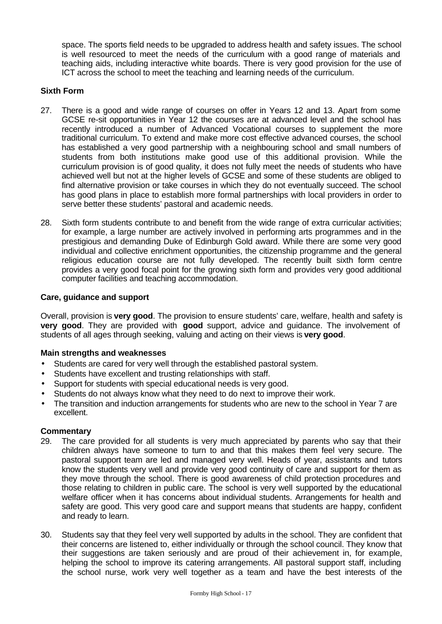space. The sports field needs to be upgraded to address health and safety issues. The school is well resourced to meet the needs of the curriculum with a good range of materials and teaching aids, including interactive white boards. There is very good provision for the use of ICT across the school to meet the teaching and learning needs of the curriculum.

## **Sixth Form**

- 27. There is a good and wide range of courses on offer in Years 12 and 13. Apart from some GCSE re-sit opportunities in Year 12 the courses are at advanced level and the school has recently introduced a number of Advanced Vocational courses to supplement the more traditional curriculum. To extend and make more cost effective advanced courses, the school has established a very good partnership with a neighbouring school and small numbers of students from both institutions make good use of this additional provision. While the curriculum provision is of good quality, it does not fully meet the needs of students who have achieved well but not at the higher levels of GCSE and some of these students are obliged to find alternative provision or take courses in which they do not eventually succeed. The school has good plans in place to establish more formal partnerships with local providers in order to serve better these students' pastoral and academic needs.
- 28. Sixth form students contribute to and benefit from the wide range of extra curricular activities; for example, a large number are actively involved in performing arts programmes and in the prestigious and demanding Duke of Edinburgh Gold award. While there are some very good individual and collective enrichment opportunities, the citizenship programme and the general religious education course are not fully developed. The recently built sixth form centre provides a very good focal point for the growing sixth form and provides very good additional computer facilities and teaching accommodation.

#### **Care, guidance and support**

Overall, provision is **very good**. The provision to ensure students' care, welfare, health and safety is **very good**. They are provided with **good** support, advice and guidance. The involvement of students of all ages through seeking, valuing and acting on their views is **very good**.

## **Main strengths and weaknesses**

- Students are cared for very well through the established pastoral system.
- Students have excellent and trusting relationships with staff.
- Support for students with special educational needs is very good.
- Students do not always know what they need to do next to improve their work.
- The transition and induction arrangements for students who are new to the school in Year 7 are excellent.

- 29. The care provided for all students is very much appreciated by parents who say that their children always have someone to turn to and that this makes them feel very secure. The pastoral support team are led and managed very well. Heads of year, assistants and tutors know the students very well and provide very good continuity of care and support for them as they move through the school. There is good awareness of child protection procedures and those relating to children in public care. The school is very well supported by the educational welfare officer when it has concerns about individual students. Arrangements for health and safety are good. This very good care and support means that students are happy, confident and ready to learn.
- 30. Students say that they feel very well supported by adults in the school. They are confident that their concerns are listened to, either individually or through the school council. They know that their suggestions are taken seriously and are proud of their achievement in, for example, helping the school to improve its catering arrangements. All pastoral support staff, including the school nurse, work very well together as a team and have the best interests of the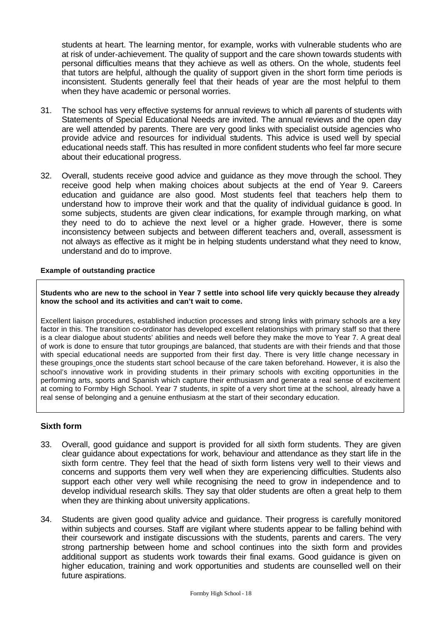students at heart. The learning mentor, for example, works with vulnerable students who are at risk of under-achievement. The quality of support and the care shown towards students with personal difficulties means that they achieve as well as others. On the whole, students feel that tutors are helpful, although the quality of support given in the short form time periods is inconsistent. Students generally feel that their heads of year are the most helpful to them when they have academic or personal worries.

- 31. The school has very effective systems for annual reviews to which all parents of students with Statements of Special Educational Needs are invited. The annual reviews and the open day are well attended by parents. There are very good links with specialist outside agencies who provide advice and resources for individual students. This advice is used well by special educational needs staff. This has resulted in more confident students who feel far more secure about their educational progress.
- 32. Overall, students receive good advice and guidance as they move through the school. They receive good help when making choices about subjects at the end of Year 9. Careers education and guidance are also good. Most students feel that teachers help them to understand how to improve their work and that the quality of individual guidance is good. In some subjects, students are given clear indications, for example through marking, on what they need to do to achieve the next level or a higher grade. However, there is some inconsistency between subjects and between different teachers and, overall, assessment is not always as effective as it might be in helping students understand what they need to know, understand and do to improve.

#### **Example of outstanding practice**

#### **Students who are new to the school in Year 7 settle into school life very quickly because they already know the school and its activities and can't wait to come.**

Excellent liaison procedures, established induction processes and strong links with primary schools are a key factor in this. The transition co-ordinator has developed excellent relationships with primary staff so that there is a clear dialogue about students' abilities and needs well before they make the move to Year 7. A great deal of work is done to ensure that tutor groupings are balanced, that students are with their friends and that those with special educational needs are supported from their first day. There is very little change necessary in these groupings once the students start school because of the care taken beforehand. However, it is also the school's innovative work in providing students in their primary schools with exciting opportunities in the performing arts, sports and Spanish which capture their enthusiasm and generate a real sense of excitement at coming to Formby High School. Year 7 students, in spite of a very short time at the school, already have a real sense of belonging and a genuine enthusiasm at the start of their secondary education.

#### **Sixth form**

- 33. Overall, good guidance and support is provided for all sixth form students. They are given clear guidance about expectations for work, behaviour and attendance as they start life in the sixth form centre. They feel that the head of sixth form listens very well to their views and concerns and supports them very well when they are experiencing difficulties. Students also support each other very well while recognising the need to grow in independence and to develop individual research skills. They say that older students are often a great help to them when they are thinking about university applications.
- 34. Students are given good quality advice and guidance. Their progress is carefully monitored within subjects and courses. Staff are vigilant where students appear to be falling behind with their coursework and instigate discussions with the students, parents and carers. The very strong partnership between home and school continues into the sixth form and provides additional support as students work towards their final exams. Good guidance is given on higher education, training and work opportunities and students are counselled well on their future aspirations.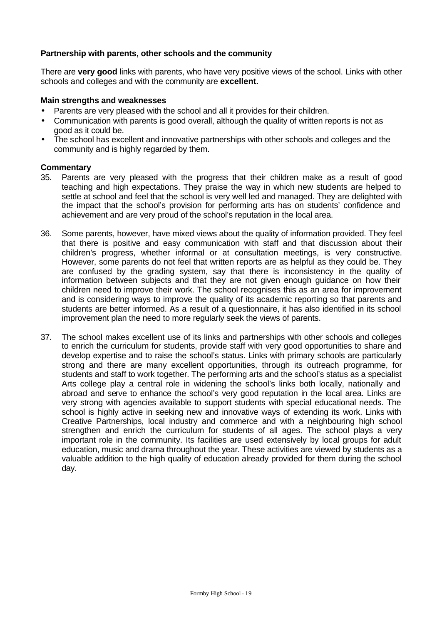## **Partnership with parents, other schools and the community**

There are **very good** links with parents, who have very positive views of the school. Links with other schools and colleges and with the community are **excellent.** 

## **Main strengths and weaknesses**

- Parents are very pleased with the school and all it provides for their children.
- Communication with parents is good overall, although the quality of written reports is not as good as it could be.
- The school has excellent and innovative partnerships with other schools and colleges and the community and is highly regarded by them.

- 35. Parents are very pleased with the progress that their children make as a result of good teaching and high expectations. They praise the way in which new students are helped to settle at school and feel that the school is very well led and managed. They are delighted with the impact that the school's provision for performing arts has on students' confidence and achievement and are very proud of the school's reputation in the local area.
- 36. Some parents, however, have mixed views about the quality of information provided. They feel that there is positive and easy communication with staff and that discussion about their children's progress, whether informal or at consultation meetings, is very constructive. However, some parents do not feel that written reports are as helpful as they could be. They are confused by the grading system, say that there is inconsistency in the quality of information between subjects and that they are not given enough guidance on how their children need to improve their work. The school recognises this as an area for improvement and is considering ways to improve the quality of its academic reporting so that parents and students are better informed. As a result of a questionnaire, it has also identified in its school improvement plan the need to more regularly seek the views of parents.
- 37. The school makes excellent use of its links and partnerships with other schools and colleges to enrich the curriculum for students, provide staff with very good opportunities to share and develop expertise and to raise the school's status. Links with primary schools are particularly strong and there are many excellent opportunities, through its outreach programme, for students and staff to work together. The performing arts and the school's status as a specialist Arts college play a central role in widening the school's links both locally, nationally and abroad and serve to enhance the school's very good reputation in the local area. Links are very strong with agencies available to support students with special educational needs. The school is highly active in seeking new and innovative ways of extending its work. Links with Creative Partnerships, local industry and commerce and with a neighbouring high school strengthen and enrich the curriculum for students of all ages. The school plays a very important role in the community. Its facilities are used extensively by local groups for adult education, music and drama throughout the year. These activities are viewed by students as a valuable addition to the high quality of education already provided for them during the school day.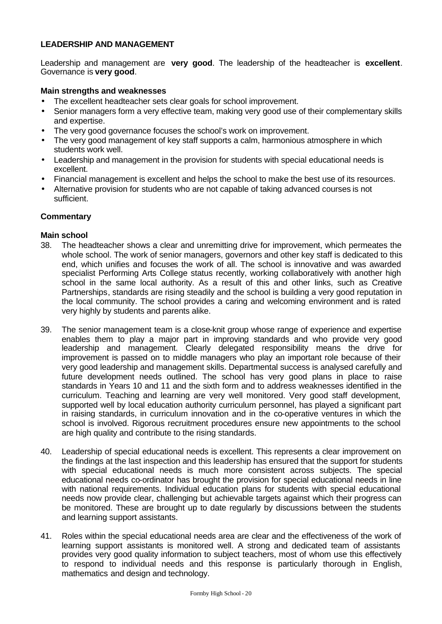## **LEADERSHIP AND MANAGEMENT**

Leadership and management are **very good**. The leadership of the headteacher is **excellent**. Governance is **very good**.

#### **Main strengths and weaknesses**

- The excellent headteacher sets clear goals for school improvement.
- Senior managers form a very effective team, making very good use of their complementary skills and expertise.
- The very good governance focuses the school's work on improvement.
- The very good management of key staff supports a calm, harmonious atmosphere in which students work well.
- Leadership and management in the provision for students with special educational needs is excellent.
- Financial management is excellent and helps the school to make the best use of its resources.
- Alternative provision for students who are not capable of taking advanced courses is not sufficient.

#### **Commentary**

#### **Main school**

- 38. The headteacher shows a clear and unremitting drive for improvement, which permeates the whole school. The work of senior managers, governors and other key staff is dedicated to this end, which unifies and focuses the work of all. The school is innovative and was awarded specialist Performing Arts College status recently, working collaboratively with another high school in the same local authority. As a result of this and other links, such as Creative Partnerships, standards are rising steadily and the school is building a very good reputation in the local community. The school provides a caring and welcoming environment and is rated very highly by students and parents alike.
- 39. The senior management team is a close-knit group whose range of experience and expertise enables them to play a major part in improving standards and who provide very good leadership and management. Clearly delegated responsibility means the drive for improvement is passed on to middle managers who play an important role because of their very good leadership and management skills. Departmental success is analysed carefully and future development needs outlined. The school has very good plans in place to raise standards in Years 10 and 11 and the sixth form and to address weaknesses identified in the curriculum. Teaching and learning are very well monitored. Very good staff development, supported well by local education authority curriculum personnel, has played a significant part in raising standards, in curriculum innovation and in the co-operative ventures in which the school is involved. Rigorous recruitment procedures ensure new appointments to the school are high quality and contribute to the rising standards.
- 40. Leadership of special educational needs is excellent. This represents a clear improvement on the findings at the last inspection and this leadership has ensured that the support for students with special educational needs is much more consistent across subjects. The special educational needs co-ordinator has brought the provision for special educational needs in line with national requirements. Individual education plans for students with special educational needs now provide clear, challenging but achievable targets against which their progress can be monitored. These are brought up to date regularly by discussions between the students and learning support assistants.
- 41. Roles within the special educational needs area are clear and the effectiveness of the work of learning support assistants is monitored well. A strong and dedicated team of assistants provides very good quality information to subject teachers, most of whom use this effectively to respond to individual needs and this response is particularly thorough in English, mathematics and design and technology.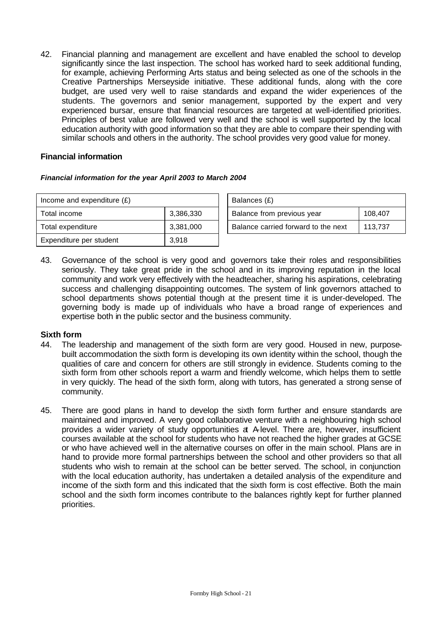42. Financial planning and management are excellent and have enabled the school to develop significantly since the last inspection. The school has worked hard to seek additional funding, for example, achieving Performing Arts status and being selected as one of the schools in the Creative Partnerships Merseyside initiative. These additional funds, along with the core budget, are used very well to raise standards and expand the wider experiences of the students. The governors and senior management, supported by the expert and very experienced bursar, ensure that financial resources are targeted at well-identified priorities. Principles of best value are followed very well and the school is well supported by the local education authority with good information so that they are able to compare their spending with similar schools and others in the authority. The school provides very good value for money.

## **Financial information**

## *Financial information for the year April 2003 to March 2004*

| Income and expenditure $(E)$ |           | Balances (£)                        |         |  |
|------------------------------|-----------|-------------------------------------|---------|--|
| Total income                 | 3,386,330 | Balance from previous year          | 108,407 |  |
| Total expenditure            | 3,381,000 | Balance carried forward to the next | 113,737 |  |
| Expenditure per student      | 3,918     |                                     |         |  |

43. Governance of the school is very good and governors take their roles and responsibilities seriously. They take great pride in the school and in its improving reputation in the local community and work very effectively with the headteacher, sharing his aspirations, celebrating success and challenging disappointing outcomes. The system of link governors attached to school departments shows potential though at the present time it is under-developed. The governing body is made up of individuals who have a broad range of experiences and expertise both in the public sector and the business community.

## **Sixth form**

- 44. The leadership and management of the sixth form are very good. Housed in new, purposebuilt accommodation the sixth form is developing its own identity within the school, though the qualities of care and concern for others are still strongly in evidence. Students coming to the sixth form from other schools report a warm and friendly welcome, which helps them to settle in very quickly. The head of the sixth form, along with tutors, has generated a strong sense of community.
- 45. There are good plans in hand to develop the sixth form further and ensure standards are maintained and improved. A very good collaborative venture with a neighbouring high school provides a wider variety of study opportunities at A-level. There are, however, insufficient courses available at the school for students who have not reached the higher grades at GCSE or who have achieved well in the alternative courses on offer in the main school. Plans are in hand to provide more formal partnerships between the school and other providers so that all students who wish to remain at the school can be better served. The school, in conjunction with the local education authority, has undertaken a detailed analysis of the expenditure and income of the sixth form and this indicated that the sixth form is cost effective. Both the main school and the sixth form incomes contribute to the balances rightly kept for further planned priorities.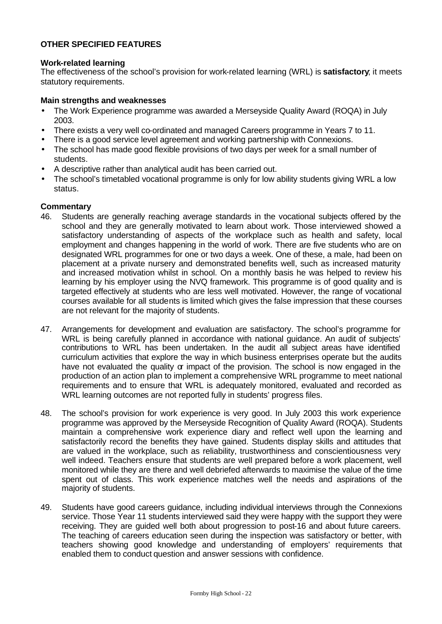## **OTHER SPECIFIED FEATURES**

#### **Work-related learning**

The effectiveness of the school's provision for work-related learning (WRL) is **satisfactory**; it meets statutory requirements.

#### **Main strengths and weaknesses**

- The Work Experience programme was awarded a Merseyside Quality Award (ROQA) in July 2003.
- There exists a very well co-ordinated and managed Careers programme in Years 7 to 11.
- There is a good service level agreement and working partnership with Connexions.
- The school has made good flexible provisions of two days per week for a small number of students.
- A descriptive rather than analytical audit has been carried out.
- The school's timetabled vocational programme is only for low ability students giving WRL a low status.

- 46. Students are generally reaching average standards in the vocational subjects offered by the school and they are generally motivated to learn about work. Those interviewed showed a satisfactory understanding of aspects of the workplace such as health and safety, local employment and changes happening in the world of work. There are five students who are on designated WRL programmes for one or two days a week. One of these, a male, had been on placement at a private nursery and demonstrated benefits well, such as increased maturity and increased motivation whilst in school. On a monthly basis he was helped to review his learning by his employer using the NVQ framework. This programme is of good quality and is targeted effectively at students who are less well motivated. However, the range of vocational courses available for all students is limited which gives the false impression that these courses are not relevant for the majority of students.
- 47. Arrangements for development and evaluation are satisfactory. The school's programme for WRL is being carefully planned in accordance with national guidance. An audit of subjects' contributions to WRL has been undertaken. In the audit all subject areas have identified curriculum activities that explore the way in which business enterprises operate but the audits have not evaluated the quality or impact of the provision. The school is now engaged in the production of an action plan to implement a comprehensive WRL programme to meet national requirements and to ensure that WRL is adequately monitored, evaluated and recorded as WRL learning outcomes are not reported fully in students' progress files.
- 48. The school's provision for work experience is very good. In July 2003 this work experience programme was approved by the Merseyside Recognition of Quality Award (ROQA). Students maintain a comprehensive work experience diary and reflect well upon the learning and satisfactorily record the benefits they have gained. Students display skills and attitudes that are valued in the workplace, such as reliability, trustworthiness and conscientiousness very well indeed. Teachers ensure that students are well prepared before a work placement, well monitored while they are there and well debriefed afterwards to maximise the value of the time spent out of class. This work experience matches well the needs and aspirations of the majority of students.
- 49. Students have good careers guidance, including individual interviews through the Connexions service. Those Year 11 students interviewed said they were happy with the support they were receiving. They are guided well both about progression to post-16 and about future careers. The teaching of careers education seen during the inspection was satisfactory or better, with teachers showing good knowledge and understanding of employers' requirements that enabled them to conduct question and answer sessions with confidence.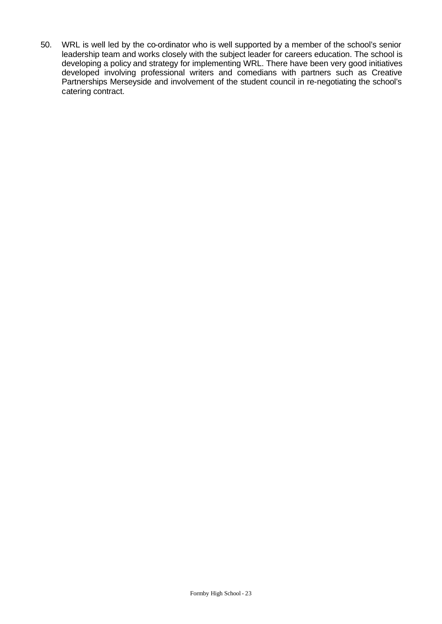50. WRL is well led by the co-ordinator who is well supported by a member of the school's senior leadership team and works closely with the subject leader for careers education. The school is developing a policy and strategy for implementing WRL. There have been very good initiatives developed involving professional writers and comedians with partners such as Creative Partnerships Merseyside and involvement of the student council in re-negotiating the school's catering contract.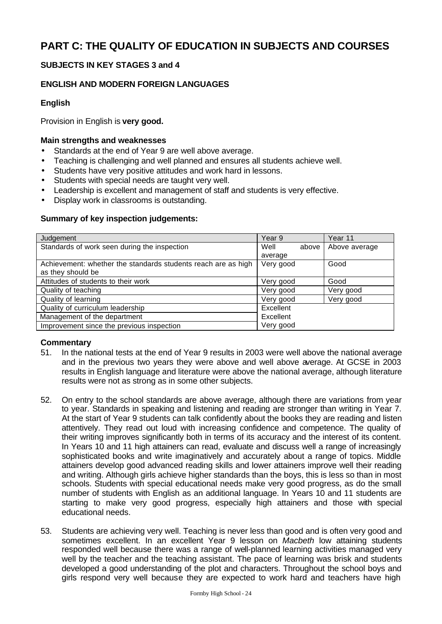# **PART C: THE QUALITY OF EDUCATION IN SUBJECTS AND COURSES**

## **SUBJECTS IN KEY STAGES 3 and 4**

## **ENGLISH AND MODERN FOREIGN LANGUAGES**

## **English**

Provision in English is **very good.**

#### **Main strengths and weaknesses**

- Standards at the end of Year 9 are well above average.
- Teaching is challenging and well planned and ensures all students achieve well.
- Students have very positive attitudes and work hard in lessons.
- Students with special needs are taught very well.
- Leadership is excellent and management of staff and students is very effective.
- Display work in classrooms is outstanding.

#### **Summary of key inspection judgements:**

| Judgement                                                     | Year 9        | Year 11       |
|---------------------------------------------------------------|---------------|---------------|
| Standards of work seen during the inspection                  | Well<br>above | Above average |
|                                                               | average       |               |
| Achievement: whether the standards students reach are as high | Very good     | Good          |
| as they should be                                             |               |               |
| Attitudes of students to their work                           | Very good     | Good          |
| Quality of teaching                                           | Very good     | Very good     |
| Quality of learning                                           | Very good     | Very good     |
| Quality of curriculum leadership                              | Excellent     |               |
| Management of the department                                  | Excellent     |               |
| Improvement since the previous inspection                     | Very good     |               |

- 51. In the national tests at the end of Year 9 results in 2003 were well above the national average and in the previous two years they were above and well above average. At GCSE in 2003 results in English language and literature were above the national average, although literature results were not as strong as in some other subjects.
- 52. On entry to the school standards are above average, although there are variations from year to year. Standards in speaking and listening and reading are stronger than writing in Year 7. At the start of Year 9 students can talk confidently about the books they are reading and listen attentively. They read out loud with increasing confidence and competence. The quality of their writing improves significantly both in terms of its accuracy and the interest of its content. In Years 10 and 11 high attainers can read, evaluate and discuss well a range of increasingly sophisticated books and write imaginatively and accurately about a range of topics. Middle attainers develop good advanced reading skills and lower attainers improve well their reading and writing. Although girls achieve higher standards than the boys, this is less so than in most schools. Students with special educational needs make very good progress, as do the small number of students with English as an additional language. In Years 10 and 11 students are starting to make very good progress, especially high attainers and those with special educational needs.
- 53. Students are achieving very well. Teaching is never less than good and is often very good and sometimes excellent. In an excellent Year 9 lesson on *Macbeth* low attaining students responded well because there was a range of well-planned learning activities managed very well by the teacher and the teaching assistant. The pace of learning was brisk and students developed a good understanding of the plot and characters. Throughout the school boys and girls respond very well because they are expected to work hard and teachers have high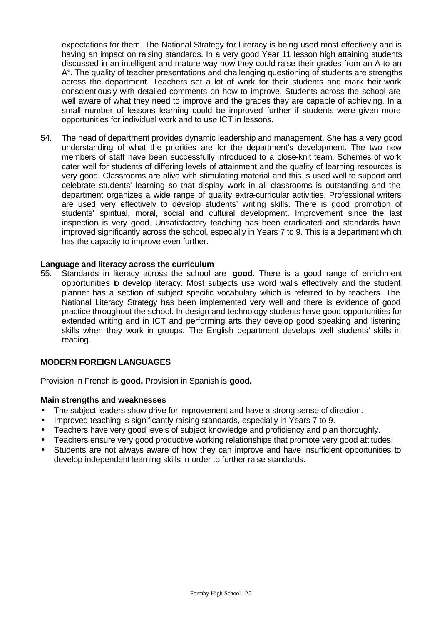expectations for them. The National Strategy for Literacy is being used most effectively and is having an impact on raising standards. In a very good Year 11 lesson high attaining students discussed in an intelligent and mature way how they could raise their grades from an A to an A\*. The quality of teacher presentations and challenging questioning of students are strengths across the department. Teachers set a lot of work for their students and mark their work conscientiously with detailed comments on how to improve. Students across the school are well aware of what they need to improve and the grades they are capable of achieving. In a small number of lessons learning could be improved further if students were given more opportunities for individual work and to use ICT in lessons.

54. The head of department provides dynamic leadership and management. She has a very good understanding of what the priorities are for the department's development. The two new members of staff have been successfully introduced to a close-knit team. Schemes of work cater well for students of differing levels of attainment and the quality of learning resources is very good. Classrooms are alive with stimulating material and this is used well to support and celebrate students' learning so that display work in all classrooms is outstanding and the department organizes a wide range of quality extra-curricular activities. Professional writers are used very effectively to develop students' writing skills. There is good promotion of students' spiritual, moral, social and cultural development. Improvement since the last inspection is very good. Unsatisfactory teaching has been eradicated and standards have improved significantly across the school, especially in Years 7 to 9. This is a department which has the capacity to improve even further.

#### **Language and literacy across the curriculum**

55. Standards in literacy across the school are **good**. There is a good range of enrichment opportunities to develop literacy. Most subjects use word walls effectively and the student planner has a section of subject specific vocabulary which is referred to by teachers. The National Literacy Strategy has been implemented very well and there is evidence of good practice throughout the school. In design and technology students have good opportunities for extended writing and in ICT and performing arts they develop good speaking and listening skills when they work in groups. The English department develops well students' skills in reading.

## **MODERN FOREIGN LANGUAGES**

Provision in French is **good.** Provision in Spanish is **good.**

#### **Main strengths and weaknesses**

- The subject leaders show drive for improvement and have a strong sense of direction.
- Improved teaching is significantly raising standards, especially in Years 7 to 9.
- Teachers have very good levels of subject knowledge and proficiency and plan thoroughly.
- Teachers ensure very good productive working relationships that promote very good attitudes.
- Students are not always aware of how they can improve and have insufficient opportunities to develop independent learning skills in order to further raise standards.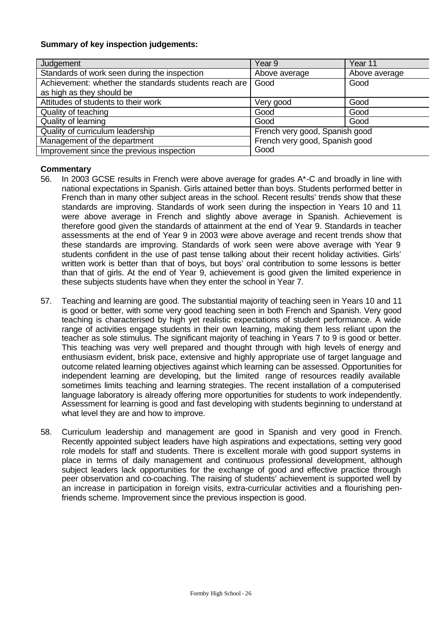#### **Summary of key inspection judgements:**

| Judgement                                             | Year 9                         | Year 11       |
|-------------------------------------------------------|--------------------------------|---------------|
| Standards of work seen during the inspection          | Above average                  | Above average |
| Achievement: whether the standards students reach are | Good                           | Good          |
| as high as they should be                             |                                |               |
| Attitudes of students to their work                   | Very good                      | Good          |
| Quality of teaching                                   | Good                           | Good          |
| Quality of learning                                   | Good                           | Good          |
| Quality of curriculum leadership                      | French very good, Spanish good |               |
| Management of the department                          | French very good, Spanish good |               |
| Improvement since the previous inspection             | Good                           |               |

- 56. In 2003 GCSE results in French were above average for grades A\*-C and broadly in line with national expectations in Spanish. Girls attained better than boys. Students performed better in French than in many other subject areas in the school. Recent results' trends show that these standards are improving. Standards of work seen during the inspection in Years 10 and 11 were above average in French and slightly above average in Spanish. Achievement is therefore good given the standards of attainment at the end of Year 9. Standards in teacher assessments at the end of Year 9 in 2003 were above average and recent trends show that these standards are improving. Standards of work seen were above average with Year 9 students confident in the use of past tense talking about their recent holiday activities. Girls' written work is better than that of boys, but boys' oral contribution to some lessons is better than that of girls. At the end of Year 9, achievement is good given the limited experience in these subjects students have when they enter the school in Year 7.
- 57. Teaching and learning are good. The substantial majority of teaching seen in Years 10 and 11 is good or better, with some very good teaching seen in both French and Spanish. Very good teaching is characterised by high yet realistic expectations of student performance. A wide range of activities engage students in their own learning, making them less reliant upon the teacher as sole stimulus. The significant majority of teaching in Years 7 to 9 is good or better. This teaching was very well prepared and thought through with high levels of energy and enthusiasm evident, brisk pace, extensive and highly appropriate use of target language and outcome related learning objectives against which learning can be assessed. Opportunities for independent learning are developing, but the limited range of resources readily available sometimes limits teaching and learning strategies. The recent installation of a computerised language laboratory is already offering more opportunities for students to work independently. Assessment for learning is good and fast developing with students beginning to understand at what level they are and how to improve.
- 58. Curriculum leadership and management are good in Spanish and very good in French. Recently appointed subject leaders have high aspirations and expectations, setting very good role models for staff and students. There is excellent morale with good support systems in place in terms of daily management and continuous professional development, although subject leaders lack opportunities for the exchange of good and effective practice through peer observation and co-coaching. The raising of students' achievement is supported well by an increase in participation in foreign visits, extra-curricular activities and a flourishing penfriends scheme. Improvement since the previous inspection is good.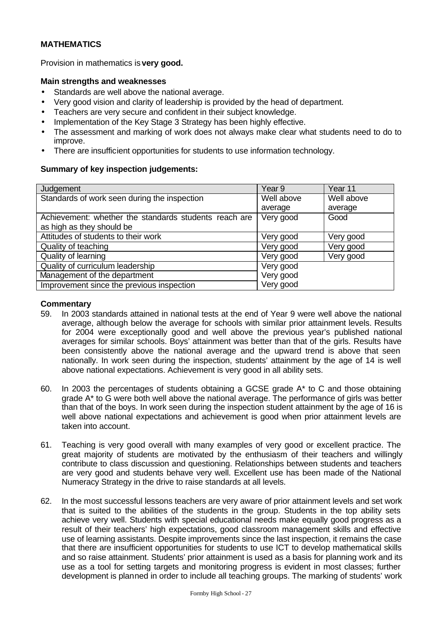## **MATHEMATICS**

Provision in mathematics is **very good.**

#### **Main strengths and weaknesses**

- Standards are well above the national average.
- Very good vision and clarity of leadership is provided by the head of department.
- Teachers are very secure and confident in their subject knowledge.
- Implementation of the Key Stage 3 Strategy has been highly effective.
- The assessment and marking of work does not always make clear what students need to do to improve.
- There are insufficient opportunities for students to use information technology.

#### **Summary of key inspection judgements:**

| Judgement                                             | Year <sub>9</sub> | Year 11    |
|-------------------------------------------------------|-------------------|------------|
| Standards of work seen during the inspection          | Well above        | Well above |
|                                                       | average           | average    |
| Achievement: whether the standards students reach are | Very good         | Good       |
| as high as they should be                             |                   |            |
| Attitudes of students to their work                   | Very good         | Very good  |
| Quality of teaching                                   | Very good         | Very good  |
| Quality of learning                                   | Very good         | Very good  |
| Quality of curriculum leadership                      | Very good         |            |
| Management of the department                          | Very good         |            |
| Improvement since the previous inspection             | Very good         |            |

- 59. In 2003 standards attained in national tests at the end of Year 9 were well above the national average, although below the average for schools with similar prior attainment levels. Results for 2004 were exceptionally good and well above the previous year's published national averages for similar schools. Boys' attainment was better than that of the girls. Results have been consistently above the national average and the upward trend is above that seen nationally. In work seen during the inspection, students' attainment by the age of 14 is well above national expectations. Achievement is very good in all ability sets.
- 60. In 2003 the percentages of students obtaining a GCSE grade A\* to C and those obtaining grade A\* to G were both well above the national average. The performance of girls was better than that of the boys. In work seen during the inspection student attainment by the age of 16 is well above national expectations and achievement is good when prior attainment levels are taken into account.
- 61. Teaching is very good overall with many examples of very good or excellent practice. The great majority of students are motivated by the enthusiasm of their teachers and willingly contribute to class discussion and questioning. Relationships between students and teachers are very good and students behave very well. Excellent use has been made of the National Numeracy Strategy in the drive to raise standards at all levels.
- 62. In the most successful lessons teachers are very aware of prior attainment levels and set work that is suited to the abilities of the students in the group. Students in the top ability sets achieve very well. Students with special educational needs make equally good progress as a result of their teachers' high expectations, good classroom management skills and effective use of learning assistants. Despite improvements since the last inspection, it remains the case that there are insufficient opportunities for students to use ICT to develop mathematical skills and so raise attainment. Students' prior attainment is used as a basis for planning work and its use as a tool for setting targets and monitoring progress is evident in most classes; further development is planned in order to include all teaching groups. The marking of students' work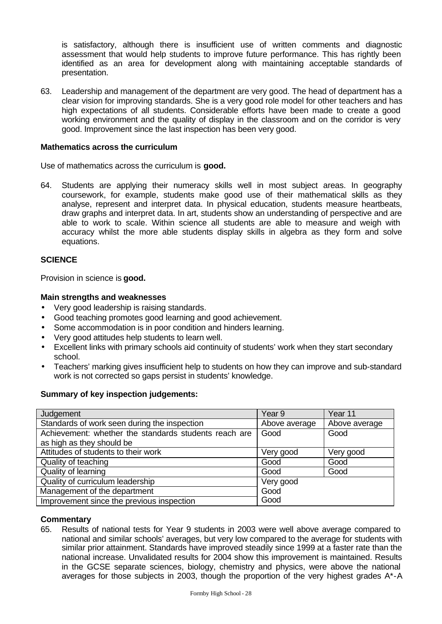is satisfactory, although there is insufficient use of written comments and diagnostic assessment that would help students to improve future performance. This has rightly been identified as an area for development along with maintaining acceptable standards of presentation.

63. Leadership and management of the department are very good. The head of department has a clear vision for improving standards. She is a very good role model for other teachers and has high expectations of all students. Considerable efforts have been made to create a good working environment and the quality of display in the classroom and on the corridor is very good. Improvement since the last inspection has been very good.

#### **Mathematics across the curriculum**

Use of mathematics across the curriculum is **good.**

64. Students are applying their numeracy skills well in most subject areas. In geography coursework, for example, students make good use of their mathematical skills as they analyse, represent and interpret data. In physical education, students measure heartbeats, draw graphs and interpret data. In art, students show an understanding of perspective and are able to work to scale. Within science all students are able to measure and weigh with accuracy whilst the more able students display skills in algebra as they form and solve equations.

## **SCIENCE**

Provision in science is **good.**

#### **Main strengths and weaknesses**

- Very good leadership is raising standards.
- Good teaching promotes good learning and good achievement.
- Some accommodation is in poor condition and hinders learning.
- Very good attitudes help students to learn well.
- Excellent links with primary schools aid continuity of students' work when they start secondary school.
- Teachers' marking gives insufficient help to students on how they can improve and sub-standard work is not corrected so gaps persist in students' knowledge.

#### **Summary of key inspection judgements:**

| Judgement                                             | Year <sub>9</sub> | Year 11       |
|-------------------------------------------------------|-------------------|---------------|
| Standards of work seen during the inspection          | Above average     | Above average |
| Achievement: whether the standards students reach are | Good              | Good          |
| as high as they should be                             |                   |               |
| Attitudes of students to their work                   | Very good         | Very good     |
| Quality of teaching                                   | Good              | Good          |
| Quality of learning                                   | Good              | Good          |
| Quality of curriculum leadership                      | Very good         |               |
| Management of the department                          | Good              |               |
| Improvement since the previous inspection             | Good              |               |

#### **Commentary**

65. Results of national tests for Year 9 students in 2003 were well above average compared to national and similar schools' averages, but very low compared to the average for students with similar prior attainment. Standards have improved steadily since 1999 at a faster rate than the national increase. Unvalidated results for 2004 show this improvement is maintained. Results in the GCSE separate sciences, biology, chemistry and physics, were above the national averages for those subjects in 2003, though the proportion of the very highest grades A\*-A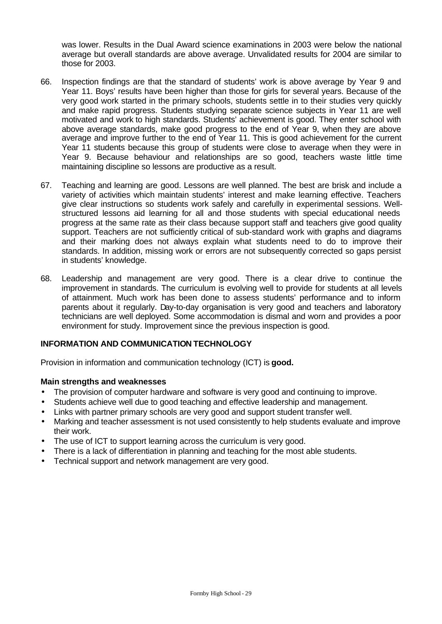was lower. Results in the Dual Award science examinations in 2003 were below the national average but overall standards are above average. Unvalidated results for 2004 are similar to those for 2003.

- 66. Inspection findings are that the standard of students' work is above average by Year 9 and Year 11. Boys' results have been higher than those for girls for several years. Because of the very good work started in the primary schools, students settle in to their studies very quickly and make rapid progress. Students studying separate science subjects in Year 11 are well motivated and work to high standards. Students' achievement is good. They enter school with above average standards, make good progress to the end of Year 9, when they are above average and improve further to the end of Year 11. This is good achievement for the current Year 11 students because this group of students were close to average when they were in Year 9. Because behaviour and relationships are so good, teachers waste little time maintaining discipline so lessons are productive as a result.
- 67. Teaching and learning are good. Lessons are well planned. The best are brisk and include a variety of activities which maintain students' interest and make learning effective. Teachers give clear instructions so students work safely and carefully in experimental sessions. Wellstructured lessons aid learning for all and those students with special educational needs progress at the same rate as their class because support staff and teachers give good quality support. Teachers are not sufficiently critical of sub-standard work with graphs and diagrams and their marking does not always explain what students need to do to improve their standards. In addition, missing work or errors are not subsequently corrected so gaps persist in students' knowledge.
- 68. Leadership and management are very good. There is a clear drive to continue the improvement in standards. The curriculum is evolving well to provide for students at all levels of attainment. Much work has been done to assess students' performance and to inform parents about it regularly. Day-to-day organisation is very good and teachers and laboratory technicians are well deployed. Some accommodation is dismal and worn and provides a poor environment for study. Improvement since the previous inspection is good.

## **INFORMATION AND COMMUNICATION TECHNOLOGY**

Provision in information and communication technology (ICT) is **good.**

#### **Main strengths and weaknesses**

- The provision of computer hardware and software is very good and continuing to improve.
- Students achieve well due to good teaching and effective leadership and management.
- Links with partner primary schools are very good and support student transfer well.
- Marking and teacher assessment is not used consistently to help students evaluate and improve their work.
- The use of ICT to support learning across the curriculum is very good.
- There is a lack of differentiation in planning and teaching for the most able students.
- Technical support and network management are very good.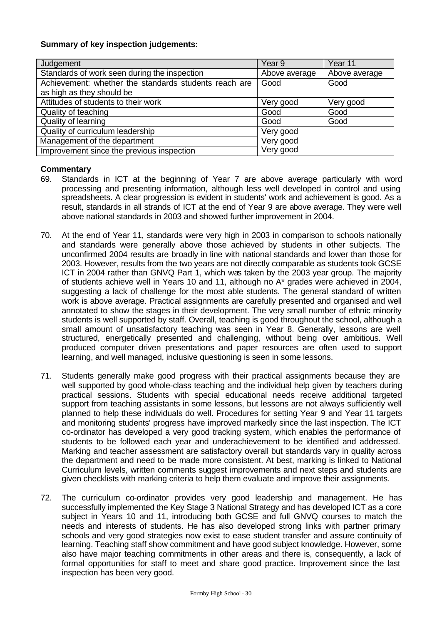## **Summary of key inspection judgements:**

| Judgement                                             | Year 9        | Year 11       |
|-------------------------------------------------------|---------------|---------------|
| Standards of work seen during the inspection          | Above average | Above average |
| Achievement: whether the standards students reach are | Good          | Good          |
| as high as they should be                             |               |               |
| Attitudes of students to their work                   | Very good     | Very good     |
| Quality of teaching                                   | Good          | Good          |
| <b>Quality of learning</b>                            | Good          | Good          |
| Quality of curriculum leadership                      | Very good     |               |
| Management of the department                          | Very good     |               |
| Improvement since the previous inspection             | Very good     |               |

- 69. Standards in ICT at the beginning of Year 7 are above average particularly with word processing and presenting information, although less well developed in control and using spreadsheets. A clear progression is evident in students' work and achievement is good. As a result, standards in all strands of ICT at the end of Year 9 are above average. They were well above national standards in 2003 and showed further improvement in 2004.
- 70. At the end of Year 11, standards were very high in 2003 in comparison to schools nationally and standards were generally above those achieved by students in other subjects. The unconfirmed 2004 results are broadly in line with national standards and lower than those for 2003. However, results from the two years are not directly comparable as students took GCSE ICT in 2004 rather than GNVQ Part 1, which was taken by the 2003 year group. The majority of students achieve well in Years 10 and 11, although no A\* grades were achieved in 2004, suggesting a lack of challenge for the most able students. The general standard of written work is above average. Practical assignments are carefully presented and organised and well annotated to show the stages in their development. The very small number of ethnic minority students is well supported by staff. Overall, teaching is good throughout the school, although a small amount of unsatisfactory teaching was seen in Year 8. Generally, lessons are well structured, energetically presented and challenging, without being over ambitious. Well produced computer driven presentations and paper resources are often used to support learning, and well managed, inclusive questioning is seen in some lessons.
- 71. Students generally make good progress with their practical assignments because they are well supported by good whole-class teaching and the individual help given by teachers during practical sessions. Students with special educational needs receive additional targeted support from teaching assistants in some lessons, but lessons are not always sufficiently well planned to help these individuals do well. Procedures for setting Year 9 and Year 11 targets and monitoring students' progress have improved markedly since the last inspection. The ICT co-ordinator has developed a very good tracking system, which enables the performance of students to be followed each year and underachievement to be identified and addressed. Marking and teacher assessment are satisfactory overall but standards vary in quality across the department and need to be made more consistent. At best, marking is linked to National Curriculum levels, written comments suggest improvements and next steps and students are given checklists with marking criteria to help them evaluate and improve their assignments.
- 72. The curriculum co-ordinator provides very good leadership and management. He has successfully implemented the Key Stage 3 National Strategy and has developed ICT as a core subject in Years 10 and 11, introducing both GCSE and full GNVQ courses to match the needs and interests of students. He has also developed strong links with partner primary schools and very good strategies now exist to ease student transfer and assure continuity of learning. Teaching staff show commitment and have good subject knowledge. However, some also have major teaching commitments in other areas and there is, consequently, a lack of formal opportunities for staff to meet and share good practice. Improvement since the last inspection has been very good.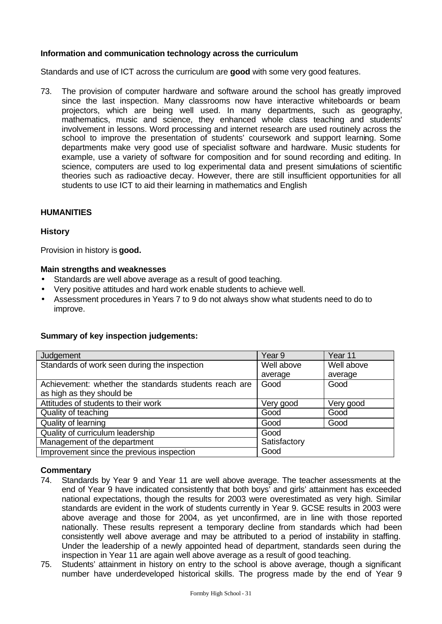## **Information and communication technology across the curriculum**

Standards and use of ICT across the curriculum are **good** with some very good features.

73. The provision of computer hardware and software around the school has greatly improved since the last inspection. Many classrooms now have interactive whiteboards or beam projectors, which are being well used. In many departments, such as geography, mathematics, music and science, they enhanced whole class teaching and students' involvement in lessons. Word processing and internet research are used routinely across the school to improve the presentation of students' coursework and support learning. Some departments make very good use of specialist software and hardware. Music students for example, use a variety of software for composition and for sound recording and editing. In science, computers are used to log experimental data and present simulations of scientific theories such as radioactive decay. However, there are still insufficient opportunities for all students to use ICT to aid their learning in mathematics and English

## **HUMANITIES**

## **History**

Provision in history is **good.**

#### **Main strengths and weaknesses**

- Standards are well above average as a result of good teaching.
- Very positive attitudes and hard work enable students to achieve well.
- Assessment procedures in Years 7 to 9 do not always show what students need to do to improve.

#### **Summary of key inspection judgements:**

| Judgement                                                                          | Year 9       | Year 11    |
|------------------------------------------------------------------------------------|--------------|------------|
| Standards of work seen during the inspection                                       | Well above   | Well above |
|                                                                                    | average      | average    |
| Achievement: whether the standards students reach are<br>as high as they should be | Good         | Good       |
| Attitudes of students to their work                                                | Very good    | Very good  |
| Quality of teaching                                                                | Good         | Good       |
| Quality of learning                                                                | Good         | Good       |
| Quality of curriculum leadership                                                   | Good         |            |
| Management of the department                                                       | Satisfactory |            |
| Improvement since the previous inspection                                          | Good         |            |

- 74. Standards by Year 9 and Year 11 are well above average. The teacher assessments at the end of Year 9 have indicated consistently that both boys' and girls' attainment has exceeded national expectations, though the results for 2003 were overestimated as very high. Similar standards are evident in the work of students currently in Year 9. GCSE results in 2003 were above average and those for 2004, as yet unconfirmed, are in line with those reported nationally. These results represent a temporary decline from standards which had been consistently well above average and may be attributed to a period of instability in staffing. Under the leadership of a newly appointed head of department, standards seen during the inspection in Year 11 are again well above average as a result of good teaching.
- 75. Students' attainment in history on entry to the school is above average, though a significant number have underdeveloped historical skills. The progress made by the end of Year 9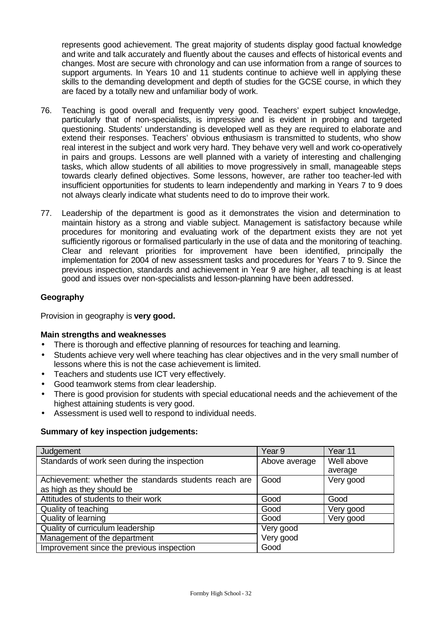represents good achievement. The great majority of students display good factual knowledge and write and talk accurately and fluently about the causes and effects of historical events and changes. Most are secure with chronology and can use information from a range of sources to support arguments. In Years 10 and 11 students continue to achieve well in applying these skills to the demanding development and depth of studies for the GCSE course, in which they are faced by a totally new and unfamiliar body of work.

- 76. Teaching is good overall and frequently very good. Teachers' expert subject knowledge, particularly that of non-specialists, is impressive and is evident in probing and targeted questioning. Students' understanding is developed well as they are required to elaborate and extend their responses. Teachers' obvious enthusiasm is transmitted to students, who show real interest in the subject and work very hard. They behave very well and work co-operatively in pairs and groups. Lessons are well planned with a variety of interesting and challenging tasks, which allow students of all abilities to move progressively in small, manageable steps towards clearly defined objectives. Some lessons, however, are rather too teacher-led with insufficient opportunities for students to learn independently and marking in Years 7 to 9 does not always clearly indicate what students need to do to improve their work.
- 77. Leadership of the department is good as it demonstrates the vision and determination to maintain history as a strong and viable subject. Management is satisfactory because while procedures for monitoring and evaluating work of the department exists they are not yet sufficiently rigorous or formalised particularly in the use of data and the monitoring of teaching. Clear and relevant priorities for improvement have been identified, principally the implementation for 2004 of new assessment tasks and procedures for Years 7 to 9. Since the previous inspection, standards and achievement in Year 9 are higher, all teaching is at least good and issues over non-specialists and lesson-planning have been addressed.

## **Geography**

Provision in geography is **very good.**

## **Main strengths and weaknesses**

- There is thorough and effective planning of resources for teaching and learning.
- Students achieve very well where teaching has clear objectives and in the very small number of lessons where this is not the case achievement is limited.
- Teachers and students use ICT very effectively.
- Good teamwork stems from clear leadership.
- There is good provision for students with special educational needs and the achievement of the highest attaining students is very good.
- Assessment is used well to respond to individual needs.

## **Summary of key inspection judgements:**

| Judgement                                             | Year <sub>9</sub> | Year 11    |
|-------------------------------------------------------|-------------------|------------|
| Standards of work seen during the inspection          | Above average     | Well above |
|                                                       |                   | average    |
| Achievement: whether the standards students reach are | Good              | Very good  |
| as high as they should be                             |                   |            |
| Attitudes of students to their work                   | Good              | Good       |
| Quality of teaching                                   | Good              | Very good  |
| Quality of learning                                   | Good              | Very good  |
| Quality of curriculum leadership                      | Very good         |            |
| Management of the department                          | Very good         |            |
| Improvement since the previous inspection             | Good              |            |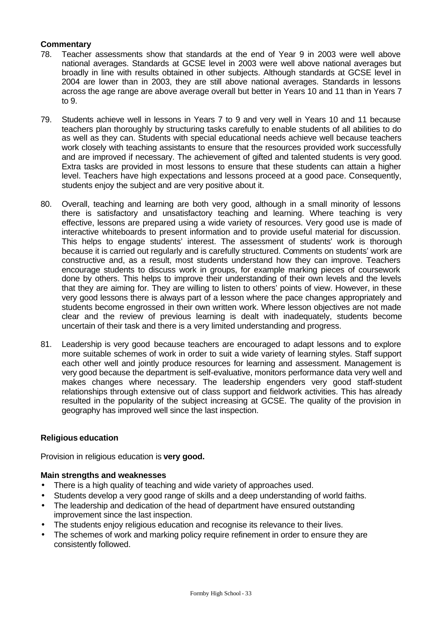## **Commentary**

- 78. Teacher assessments show that standards at the end of Year 9 in 2003 were well above national averages. Standards at GCSE level in 2003 were well above national averages but broadly in line with results obtained in other subjects. Although standards at GCSE level in 2004 are lower than in 2003, they are still above national averages. Standards in lessons across the age range are above average overall but better in Years 10 and 11 than in Years 7 to 9.
- 79. Students achieve well in lessons in Years 7 to 9 and very well in Years 10 and 11 because teachers plan thoroughly by structuring tasks carefully to enable students of all abilities to do as well as they can. Students with special educational needs achieve well because teachers work closely with teaching assistants to ensure that the resources provided work successfully and are improved if necessary. The achievement of gifted and talented students is very good. Extra tasks are provided in most lessons to ensure that these students can attain a higher level. Teachers have high expectations and lessons proceed at a good pace. Consequently, students enjoy the subject and are very positive about it.
- 80. Overall, teaching and learning are both very good, although in a small minority of lessons there is satisfactory and unsatisfactory teaching and learning. Where teaching is very effective, lessons are prepared using a wide variety of resources. Very good use is made of interactive whiteboards to present information and to provide useful material for discussion. This helps to engage students' interest. The assessment of students' work is thorough because it is carried out regularly and is carefully structured. Comments on students' work are constructive and, as a result, most students understand how they can improve. Teachers encourage students to discuss work in groups, for example marking pieces of coursework done by others. This helps to improve their understanding of their own levels and the levels that they are aiming for. They are willing to listen to others' points of view. However, in these very good lessons there is always part of a lesson where the pace changes appropriately and students become engrossed in their own written work. Where lesson objectives are not made clear and the review of previous learning is dealt with inadequately, students become uncertain of their task and there is a very limited understanding and progress.
- 81. Leadership is very good because teachers are encouraged to adapt lessons and to explore more suitable schemes of work in order to suit a wide variety of learning styles. Staff support each other well and jointly produce resources for learning and assessment. Management is very good because the department is self-evaluative, monitors performance data very well and makes changes where necessary. The leadership engenders very good staff-student relationships through extensive out of class support and fieldwork activities. This has already resulted in the popularity of the subject increasing at GCSE. The quality of the provision in geography has improved well since the last inspection.

## **Religious education**

Provision in religious education is **very good.**

## **Main strengths and weaknesses**

- There is a high quality of teaching and wide variety of approaches used.
- Students develop a very good range of skills and a deep understanding of world faiths.
- The leadership and dedication of the head of department have ensured outstanding improvement since the last inspection.
- The students enjoy religious education and recognise its relevance to their lives.
- The schemes of work and marking policy require refinement in order to ensure they are consistently followed.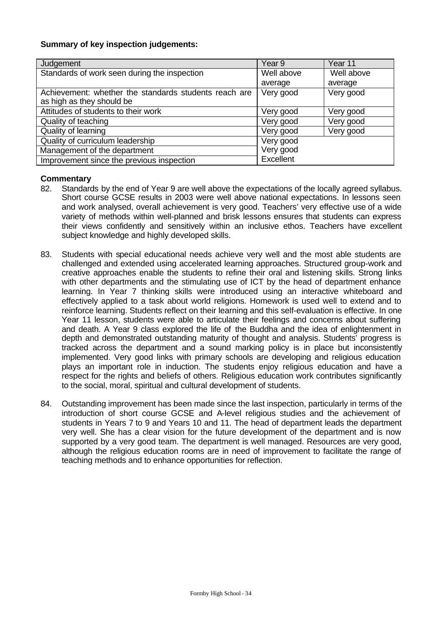## **Summary of key inspection judgements:**

| Judgement                                                                          | Year <sub>9</sub> | Year 11    |
|------------------------------------------------------------------------------------|-------------------|------------|
| Standards of work seen during the inspection                                       | Well above        | Well above |
|                                                                                    | average           | average    |
| Achievement: whether the standards students reach are<br>as high as they should be | Very good         | Very good  |
| Attitudes of students to their work                                                | Very good         | Very good  |
| Quality of teaching                                                                | Very good         | Very good  |
| Quality of learning                                                                | Very good         | Very good  |
| Quality of curriculum leadership                                                   | Very good         |            |
| Management of the department                                                       | Very good         |            |
| Improvement since the previous inspection                                          | Excellent         |            |

- 82. Standards by the end of Year 9 are well above the expectations of the locally agreed syllabus. Short course GCSE results in 2003 were well above national expectations. In lessons seen and work analysed, overall achievement is very good. Teachers' very effective use of a wide variety of methods within well-planned and brisk lessons ensures that students can express their views confidently and sensitively within an inclusive ethos. Teachers have excellent subject knowledge and highly developed skills.
- 83. Students with special educational needs achieve very well and the most able students are challenged and extended using accelerated learning approaches. Structured group-work and creative approaches enable the students to refine their oral and listening skills. Strong links with other departments and the stimulating use of ICT by the head of department enhance learning. In Year 7 thinking skills were introduced using an interactive whiteboard and effectively applied to a task about world religions. Homework is used well to extend and to reinforce learning. Students reflect on their learning and this self-evaluation is effective. In one Year 11 lesson, students were able to articulate their feelings and concerns about suffering and death. A Year 9 class explored the life of the Buddha and the idea of enlightenment in depth and demonstrated outstanding maturity of thought and analysis. Students' progress is tracked across the department and a sound marking policy is in place but inconsistently implemented. Very good links with primary schools are developing and religious education plays an important role in induction. The students enjoy religious education and have a respect for the rights and beliefs of others. Religious education work contributes significantly to the social, moral, spiritual and cultural development of students.
- 84. Outstanding improvement has been made since the last inspection, particularly in terms of the introduction of short course GCSE and A-level religious studies and the achievement of students in Years 7 to 9 and Years 10 and 11. The head of department leads the department very well. She has a clear vision for the future development of the department and is now supported by a very good team. The department is well managed. Resources are very good, although the religious education rooms are in need of improvement to facilitate the range of teaching methods and to enhance opportunities for reflection.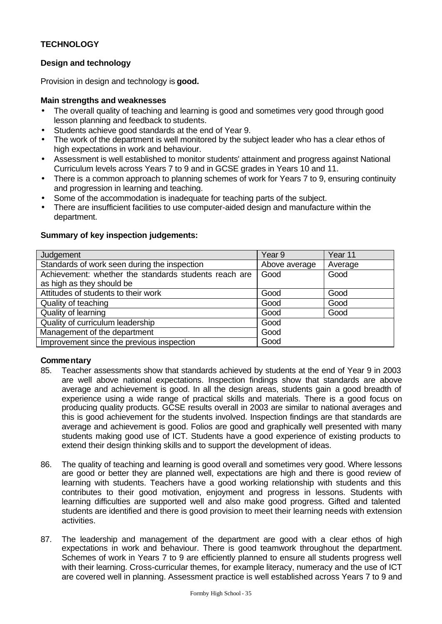## **TECHNOLOGY**

## **Design and technology**

Provision in design and technology is **good.**

## **Main strengths and weaknesses**

- The overall quality of teaching and learning is good and sometimes very good through good lesson planning and feedback to students.
- Students achieve good standards at the end of Year 9.
- The work of the department is well monitored by the subject leader who has a clear ethos of high expectations in work and behaviour.
- Assessment is well established to monitor students' attainment and progress against National Curriculum levels across Years 7 to 9 and in GCSE grades in Years 10 and 11.
- There is a common approach to planning schemes of work for Years 7 to 9, ensuring continuity and progression in learning and teaching.
- Some of the accommodation is inadequate for teaching parts of the subject.
- There are insufficient facilities to use computer-aided design and manufacture within the department.

## **Summary of key inspection judgements:**

| Judgement                                             | Year <sub>9</sub> | Year 11 |
|-------------------------------------------------------|-------------------|---------|
| Standards of work seen during the inspection          | Above average     | Average |
| Achievement: whether the standards students reach are | Good              | Good    |
| as high as they should be                             |                   |         |
| Attitudes of students to their work                   | Good              | Good    |
| Quality of teaching                                   | Good              | Good    |
| Quality of learning                                   | Good              | Good    |
| Quality of curriculum leadership                      | Good              |         |
| Management of the department                          | Good              |         |
| Improvement since the previous inspection             | Good              |         |

- 85. Teacher assessments show that standards achieved by students at the end of Year 9 in 2003 are well above national expectations. Inspection findings show that standards are above average and achievement is good. In all the design areas, students gain a good breadth of experience using a wide range of practical skills and materials. There is a good focus on producing quality products. GCSE results overall in 2003 are similar to national averages and this is good achievement for the students involved. Inspection findings are that standards are average and achievement is good. Folios are good and graphically well presented with many students making good use of ICT. Students have a good experience of existing products to extend their design thinking skills and to support the development of ideas.
- 86. The quality of teaching and learning is good overall and sometimes very good. Where lessons are good or better they are planned well, expectations are high and there is good review of learning with students. Teachers have a good working relationship with students and this contributes to their good motivation, enjoyment and progress in lessons. Students with learning difficulties are supported well and also make good progress. Gifted and talented students are identified and there is good provision to meet their learning needs with extension activities.
- 87. The leadership and management of the department are good with a clear ethos of high expectations in work and behaviour. There is good teamwork throughout the department. Schemes of work in Years 7 to 9 are efficiently planned to ensure all students progress well with their learning. Cross-curricular themes, for example literacy, numeracy and the use of ICT are covered well in planning. Assessment practice is well established across Years 7 to 9 and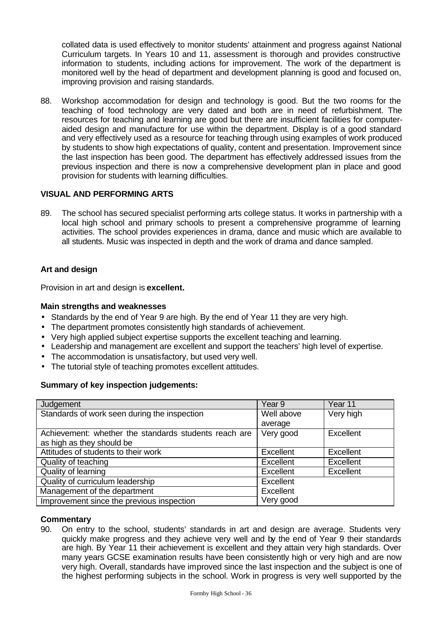collated data is used effectively to monitor students' attainment and progress against National Curriculum targets. In Years 10 and 11, assessment is thorough and provides constructive information to students, including actions for improvement. The work of the department is monitored well by the head of department and development planning is good and focused on, improving provision and raising standards.

88. Workshop accommodation for design and technology is good. But the two rooms for the teaching of food technology are very dated and both are in need of refurbishment. The resources for teaching and learning are good but there are insufficient facilities for computeraided design and manufacture for use within the department. Display is of a good standard and very effectively used as a resource for teaching through using examples of work produced by students to show high expectations of quality, content and presentation. Improvement since the last inspection has been good. The department has effectively addressed issues from the previous inspection and there is now a comprehensive development plan in place and good provision for students with learning difficulties.

## **VISUAL AND PERFORMING ARTS**

89. The school has secured specialist performing arts college status. It works in partnership with a local high school and primary schools to present a comprehensive programme of learning activities. The school provides experiences in drama, dance and music which are available to all students. Music was inspected in depth and the work of drama and dance sampled.

## **Art and design**

Provision in art and design is **excellent.**

#### **Main strengths and weaknesses**

- Standards by the end of Year 9 are high. By the end of Year 11 they are very high.
- The department promotes consistently high standards of achievement.
- Very high applied subject expertise supports the excellent teaching and learning.
- Leadership and management are excellent and support the teachers' high level of expertise.
- The accommodation is unsatisfactory, but used very well.
- The tutorial style of teaching promotes excellent attitudes.

## **Summary of key inspection judgements:**

| Judgement                                             | Year <sub>9</sub> | Year 11   |
|-------------------------------------------------------|-------------------|-----------|
| Standards of work seen during the inspection          | Well above        | Very high |
|                                                       | average           |           |
| Achievement: whether the standards students reach are | Very good         | Excellent |
| as high as they should be                             |                   |           |
| Attitudes of students to their work                   | Excellent         | Excellent |
| Quality of teaching                                   | <b>Excellent</b>  | Excellent |
| Quality of learning                                   | <b>Excellent</b>  | Excellent |
| Quality of curriculum leadership                      | <b>Excellent</b>  |           |
| Management of the department                          | Excellent         |           |
| Improvement since the previous inspection             | Very good         |           |

#### **Commentary**

90. On entry to the school, students' standards in art and design are average. Students very quickly make progress and they achieve very well and by the end of Year 9 their standards are high. By Year 11 their achievement is excellent and they attain very high standards. Over many years GCSE examination results have been consistently high or very high and are now very high. Overall, standards have improved since the last inspection and the subject is one of the highest performing subjects in the school. Work in progress is very well supported by the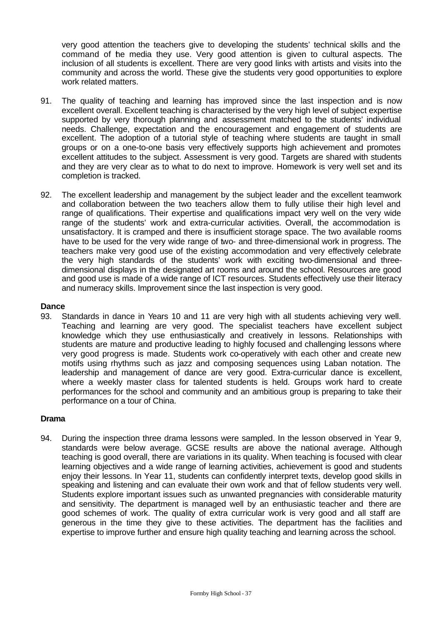very good attention the teachers give to developing the students' technical skills and the command of the media they use. Very good attention is given to cultural aspects. The inclusion of all students is excellent. There are very good links with artists and visits into the community and across the world. These give the students very good opportunities to explore work related matters.

- 91. The quality of teaching and learning has improved since the last inspection and is now excellent overall. Excellent teaching is characterised by the very high level of subject expertise supported by very thorough planning and assessment matched to the students' individual needs. Challenge, expectation and the encouragement and engagement of students are excellent. The adoption of a tutorial style of teaching where students are taught in small groups or on a one-to-one basis very effectively supports high achievement and promotes excellent attitudes to the subject. Assessment is very good. Targets are shared with students and they are very clear as to what to do next to improve. Homework is very well set and its completion is tracked.
- 92. The excellent leadership and management by the subject leader and the excellent teamwork and collaboration between the two teachers allow them to fully utilise their high level and range of qualifications. Their expertise and qualifications impact very well on the very wide range of the students' work and extra-curricular activities. Overall, the accommodation is unsatisfactory. It is cramped and there is insufficient storage space. The two available rooms have to be used for the very wide range of two- and three-dimensional work in progress. The teachers make very good use of the existing accommodation and very effectively celebrate the very high standards of the students' work with exciting two-dimensional and threedimensional displays in the designated art rooms and around the school. Resources are good and good use is made of a wide range of ICT resources. Students effectively use their literacy and numeracy skills. Improvement since the last inspection is very good.

## **Dance**

93. Standards in dance in Years 10 and 11 are very high with all students achieving very well. Teaching and learning are very good. The specialist teachers have excellent subject knowledge which they use enthusiastically and creatively in lessons. Relationships with students are mature and productive leading to highly focused and challenging lessons where very good progress is made. Students work co-operatively with each other and create new motifs using rhythms such as jazz and composing sequences using Laban notation. The leadership and management of dance are very good. Extra-curricular dance is excellent, where a weekly master class for talented students is held. Groups work hard to create performances for the school and community and an ambitious group is preparing to take their performance on a tour of China.

#### **Drama**

94. During the inspection three drama lessons were sampled. In the lesson observed in Year 9, standards were below average. GCSE results are above the national average. Although teaching is good overall, there are variations in its quality. When teaching is focused with clear learning objectives and a wide range of learning activities, achievement is good and students enjoy their lessons. In Year 11, students can confidently interpret texts, develop good skills in speaking and listening and can evaluate their own work and that of fellow students very well. Students explore important issues such as unwanted pregnancies with considerable maturity and sensitivity. The department is managed well by an enthusiastic teacher and there are good schemes of work. The quality of extra curricular work is very good and all staff are generous in the time they give to these activities. The department has the facilities and expertise to improve further and ensure high quality teaching and learning across the school.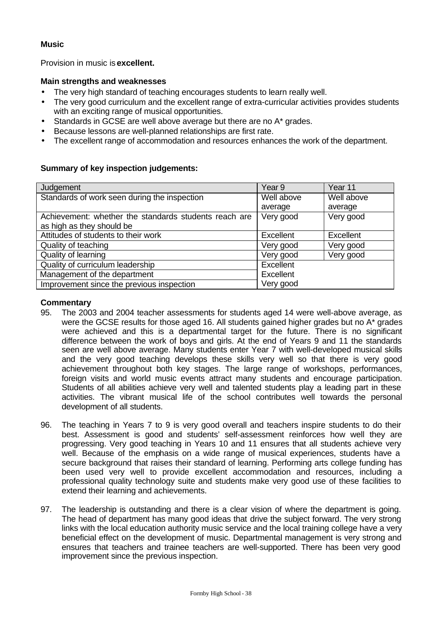## **Music**

Provision in music is **excellent.**

## **Main strengths and weaknesses**

- The very high standard of teaching encourages students to learn really well.
- The very good curriculum and the excellent range of extra-curricular activities provides students with an exciting range of musical opportunities.
- Standards in GCSE are well above average but there are no A\* grades.
- Because lessons are well-planned relationships are first rate.
- The excellent range of accommodation and resources enhances the work of the department.

## **Summary of key inspection judgements:**

| Judgement                                             | Year <sub>9</sub> | Year 11    |
|-------------------------------------------------------|-------------------|------------|
| Standards of work seen during the inspection          | Well above        | Well above |
|                                                       | average           | average    |
| Achievement: whether the standards students reach are | Very good         | Very good  |
| as high as they should be                             |                   |            |
| Attitudes of students to their work                   | Excellent         | Excellent  |
| Quality of teaching                                   | Very good         | Very good  |
| Quality of learning                                   | Very good         | Very good  |
| Quality of curriculum leadership                      | Excellent         |            |
| Management of the department                          | Excellent         |            |
| Improvement since the previous inspection             | Very good         |            |

- 95. The 2003 and 2004 teacher assessments for students aged 14 were well-above average, as were the GCSE results for those aged 16. All students gained higher grades but no A<sup>\*</sup> grades were achieved and this is a departmental target for the future. There is no significant difference between the work of boys and girls. At the end of Years 9 and 11 the standards seen are well above average. Many students enter Year 7 with well-developed musical skills and the very good teaching develops these skills very well so that there is very good achievement throughout both key stages. The large range of workshops, performances, foreign visits and world music events attract many students and encourage participation. Students of all abilities achieve very well and talented students play a leading part in these activities. The vibrant musical life of the school contributes well towards the personal development of all students.
- 96. The teaching in Years 7 to 9 is very good overall and teachers inspire students to do their best. Assessment is good and students' self-assessment reinforces how well they are progressing. Very good teaching in Years 10 and 11 ensures that all students achieve very well. Because of the emphasis on a wide range of musical experiences, students have a secure background that raises their standard of learning. Performing arts college funding has been used very well to provide excellent accommodation and resources, including a professional quality technology suite and students make very good use of these facilities to extend their learning and achievements.
- 97. The leadership is outstanding and there is a clear vision of where the department is going. The head of department has many good ideas that drive the subject forward. The very strong links with the local education authority music service and the local training college have a very beneficial effect on the development of music. Departmental management is very strong and ensures that teachers and trainee teachers are well-supported. There has been very good improvement since the previous inspection.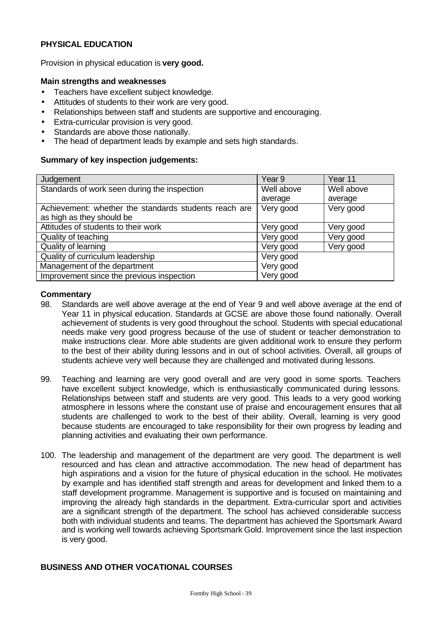## **PHYSICAL EDUCATION**

Provision in physical education is **very good.**

#### **Main strengths and weaknesses**

- Teachers have excellent subject knowledge.
- Attitudes of students to their work are very good.
- Relationships between staff and students are supportive and encouraging.
- Extra-curricular provision is very good.
- Standards are above those nationally.
- The head of department leads by example and sets high standards.

#### **Summary of key inspection judgements:**

| Judgement                                             | Year <sub>9</sub> | Year 11    |
|-------------------------------------------------------|-------------------|------------|
| Standards of work seen during the inspection          | Well above        | Well above |
|                                                       | average           | average    |
| Achievement: whether the standards students reach are | Very good         | Very good  |
| as high as they should be                             |                   |            |
| Attitudes of students to their work                   | Very good         | Very good  |
| Quality of teaching                                   | Very good         | Very good  |
| Quality of learning                                   | Very good         | Very good  |
| Quality of curriculum leadership                      | Very good         |            |
| Management of the department                          | Very good         |            |
| Improvement since the previous inspection             | Very good         |            |

#### **Commentary**

- 98. Standards are well above average at the end of Year 9 and well above average at the end of Year 11 in physical education. Standards at GCSE are above those found nationally. Overall achievement of students is very good throughout the school. Students with special educational needs make very good progress because of the use of student or teacher demonstration to make instructions clear. More able students are given additional work to ensure they perform to the best of their ability during lessons and in out of school activities. Overall, all groups of students achieve very well because they are challenged and motivated during lessons.
- 99. Teaching and learning are very good overall and are very good in some sports. Teachers have excellent subject knowledge, which is enthusiastically communicated during lessons. Relationships between staff and students are very good. This leads to a very good working atmosphere in lessons where the constant use of praise and encouragement ensures that all students are challenged to work to the best of their ability. Overall, learning is very good because students are encouraged to take responsibility for their own progress by leading and planning activities and evaluating their own performance.
- 100. The leadership and management of the department are very good. The department is well resourced and has clean and attractive accommodation. The new head of department has high aspirations and a vision for the future of physical education in the school. He motivates by example and has identified staff strength and areas for development and linked them to a staff development programme. Management is supportive and is focused on maintaining and improving the already high standards in the department. Extra-curricular sport and activities are a significant strength of the department. The school has achieved considerable success both with individual students and teams. The department has achieved the Sportsmark Award and is working well towards achieving Sportsmark Gold. Improvement since the last inspection is very good.

## **BUSINESS AND OTHER VOCATIONAL COURSES**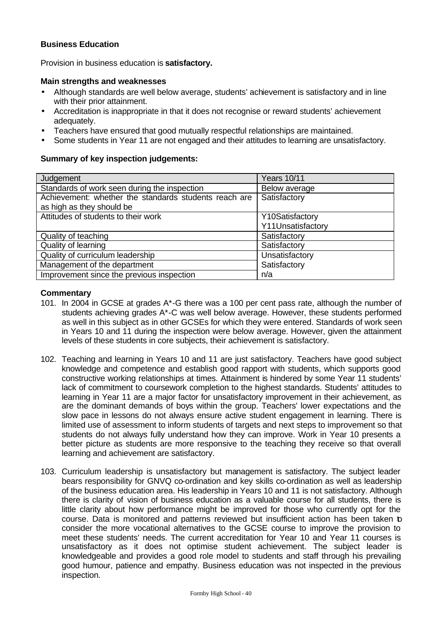## **Business Education**

Provision in business education is **satisfactory.**

#### **Main strengths and weaknesses**

- Although standards are well below average, students' achievement is satisfactory and in line with their prior attainment.
- Accreditation is inappropriate in that it does not recognise or reward students' achievement adequately.
- Teachers have ensured that good mutually respectful relationships are maintained.
- Some students in Year 11 are not engaged and their attitudes to learning are unsatisfactory.

## **Summary of key inspection judgements:**

| Judgement                                             | <b>Years 10/11</b> |
|-------------------------------------------------------|--------------------|
| Standards of work seen during the inspection          | Below average      |
| Achievement: whether the standards students reach are | Satisfactory       |
| as high as they should be                             |                    |
| Attitudes of students to their work                   | Y10Satisfactory    |
|                                                       | Y11Unsatisfactory  |
| Quality of teaching                                   | Satisfactory       |
| Quality of learning                                   | Satisfactory       |
| Quality of curriculum leadership                      | Unsatisfactory     |
| Management of the department                          | Satisfactory       |
| Improvement since the previous inspection             | n/a                |

- 101. In 2004 in GCSE at grades  $A^*$ -G there was a 100 per cent pass rate, although the number of students achieving grades A\*-C was well below average. However, these students performed as well in this subject as in other GCSEs for which they were entered. Standards of work seen in Years 10 and 11 during the inspection were below average. However, given the attainment levels of these students in core subjects, their achievement is satisfactory.
- 102. Teaching and learning in Years 10 and 11 are just satisfactory. Teachers have good subject knowledge and competence and establish good rapport with students, which supports good constructive working relationships at times. Attainment is hindered by some Year 11 students' lack of commitment to coursework completion to the highest standards. Students' attitudes to learning in Year 11 are a major factor for unsatisfactory improvement in their achievement, as are the dominant demands of boys within the group. Teachers' lower expectations and the slow pace in lessons do not always ensure active student engagement in learning. There is limited use of assessment to inform students of targets and next steps to improvement so that students do not always fully understand how they can improve. Work in Year 10 presents a better picture as students are more responsive to the teaching they receive so that overall learning and achievement are satisfactory.
- 103. Curriculum leadership is unsatisfactory but management is satisfactory. The subject leader bears responsibility for GNVQ co-ordination and key skills co-ordination as well as leadership of the business education area. His leadership in Years 10 and 11 is not satisfactory. Although there is clarity of vision of business education as a valuable course for all students, there is little clarity about how performance might be improved for those who currently opt for the course. Data is monitored and patterns reviewed but insufficient action has been taken to consider the more vocational alternatives to the GCSE course to improve the provision to meet these students' needs. The current accreditation for Year 10 and Year 11 courses is unsatisfactory as it does not optimise student achievement. The subject leader is knowledgeable and provides a good role model to students and staff through his prevailing good humour, patience and empathy. Business education was not inspected in the previous inspection.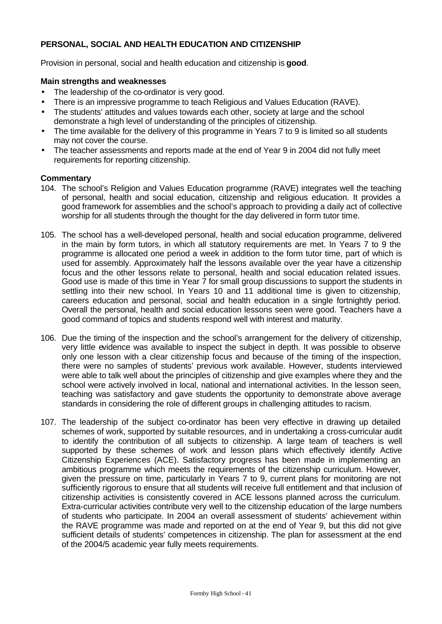## **PERSONAL, SOCIAL AND HEALTH EDUCATION AND CITIZENSHIP**

Provision in personal, social and health education and citizenship is **good**.

#### **Main strengths and weaknesses**

- The leadership of the co-ordinator is very good.
- There is an impressive programme to teach Religious and Values Education (RAVE).
- The students' attitudes and values towards each other, society at large and the school demonstrate a high level of understanding of the principles of citizenship.
- The time available for the delivery of this programme in Years 7 to 9 is limited so all students may not cover the course.
- The teacher assessments and reports made at the end of Year 9 in 2004 did not fully meet requirements for reporting citizenship.

- 104. The school's Religion and Values Education programme (RAVE) integrates well the teaching of personal, health and social education, citizenship and religious education. It provides a good framework for assemblies and the school's approach to providing a daily act of collective worship for all students through the thought for the day delivered in form tutor time.
- 105. The school has a well-developed personal, health and social education programme, delivered in the main by form tutors, in which all statutory requirements are met. In Years 7 to 9 the programme is allocated one period a week in addition to the form tutor time, part of which is used for assembly. Approximately half the lessons available over the year have a citizenship focus and the other lessons relate to personal, health and social education related issues. Good use is made of this time in Year 7 for small group discussions to support the students in settling into their new school. In Years 10 and 11 additional time is given to citizenship, careers education and personal, social and health education in a single fortnightly period. Overall the personal, health and social education lessons seen were good. Teachers have a good command of topics and students respond well with interest and maturity.
- 106. Due the timing of the inspection and the school's arrangement for the delivery of citizenship, very little evidence was available to inspect the subject in depth. It was possible to observe only one lesson with a clear citizenship focus and because of the timing of the inspection, there were no samples of students' previous work available. However, students interviewed were able to talk well about the principles of citizenship and give examples where they and the school were actively involved in local, national and international activities. In the lesson seen, teaching was satisfactory and gave students the opportunity to demonstrate above average standards in considering the role of different groups in challenging attitudes to racism.
- 107. The leadership of the subject co-ordinator has been very effective in drawing up detailed schemes of work, supported by suitable resources, and in undertaking a cross-curricular audit to identify the contribution of all subjects to citizenship. A large team of teachers is well supported by these schemes of work and lesson plans which effectively identify Active Citizenship Experiences (ACE). Satisfactory progress has been made in implementing an ambitious programme which meets the requirements of the citizenship curriculum. However, given the pressure on time, particularly in Years 7 to 9, current plans for monitoring are not sufficiently rigorous to ensure that all students will receive full entitlement and that inclusion of citizenship activities is consistently covered in ACE lessons planned across the curriculum. Extra-curricular activities contribute very well to the citizenship education of the large numbers of students who participate. In 2004 an overall assessment of students' achievement within the RAVE programme was made and reported on at the end of Year 9, but this did not give sufficient details of students' competences in citizenship. The plan for assessment at the end of the 2004/5 academic year fully meets requirements.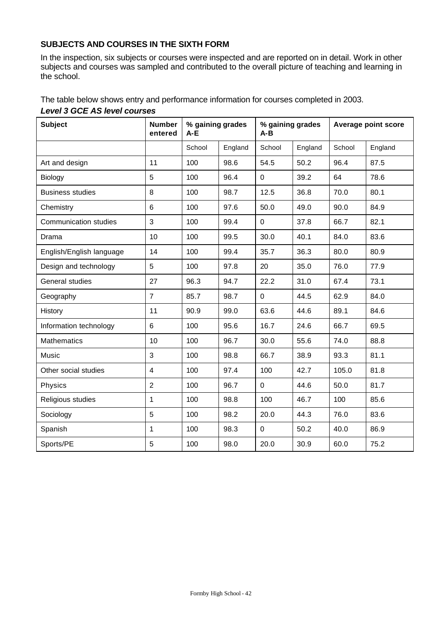## **SUBJECTS AND COURSES IN THE SIXTH FORM**

In the inspection, six subjects or courses were inspected and are reported on in detail. Work in other subjects and courses was sampled and contributed to the overall picture of teaching and learning in the school.

The table below shows entry and performance information for courses completed in 2003. *Level 3 GCE AS level courses*

| <b>Subject</b>               | <b>Number</b><br>entered | % gaining grades<br>A-E |         | % gaining grades<br>$A - B$ |         | Average point score |         |
|------------------------------|--------------------------|-------------------------|---------|-----------------------------|---------|---------------------|---------|
|                              |                          | School                  | England | School                      | England | School              | England |
| Art and design               | 11                       | 100                     | 98.6    | 54.5                        | 50.2    | 96.4                | 87.5    |
| Biology                      | 5                        | 100                     | 96.4    | $\mathbf 0$                 | 39.2    | 64                  | 78.6    |
| <b>Business studies</b>      | 8                        | 100                     | 98.7    | 12.5                        | 36.8    | 70.0                | 80.1    |
| Chemistry                    | 6                        | 100                     | 97.6    | 50.0                        | 49.0    | 90.0                | 84.9    |
| <b>Communication studies</b> | 3                        | 100                     | 99.4    | $\mathbf 0$                 | 37.8    | 66.7                | 82.1    |
| Drama                        | 10                       | 100                     | 99.5    | 30.0                        | 40.1    | 84.0                | 83.6    |
| English/English language     | 14                       | 100                     | 99.4    | 35.7                        | 36.3    | 80.0                | 80.9    |
| Design and technology        | 5                        | 100                     | 97.8    | 20                          | 35.0    | 76.0                | 77.9    |
| General studies              | 27                       | 96.3                    | 94.7    | 22.2                        | 31.0    | 67.4                | 73.1    |
| Geography                    | $\overline{7}$           | 85.7                    | 98.7    | $\mathbf 0$                 | 44.5    | 62.9                | 84.0    |
| History                      | 11                       | 90.9                    | 99.0    | 63.6                        | 44.6    | 89.1                | 84.6    |
| Information technology       | 6                        | 100                     | 95.6    | 16.7                        | 24.6    | 66.7                | 69.5    |
| <b>Mathematics</b>           | 10                       | 100                     | 96.7    | 30.0                        | 55.6    | 74.0                | 88.8    |
| Music                        | 3                        | 100                     | 98.8    | 66.7                        | 38.9    | 93.3                | 81.1    |
| Other social studies         | $\overline{\mathbf{4}}$  | 100                     | 97.4    | 100                         | 42.7    | 105.0               | 81.8    |
| Physics                      | $\overline{2}$           | 100                     | 96.7    | $\mathbf{0}$                | 44.6    | 50.0                | 81.7    |
| Religious studies            | 1                        | 100                     | 98.8    | 100                         | 46.7    | 100                 | 85.6    |
| Sociology                    | 5                        | 100                     | 98.2    | 20.0                        | 44.3    | 76.0                | 83.6    |
| Spanish                      | $\mathbf{1}$             | 100                     | 98.3    | $\mathbf 0$                 | 50.2    | 40.0                | 86.9    |
| Sports/PE                    | 5                        | 100                     | 98.0    | 20.0                        | 30.9    | 60.0                | 75.2    |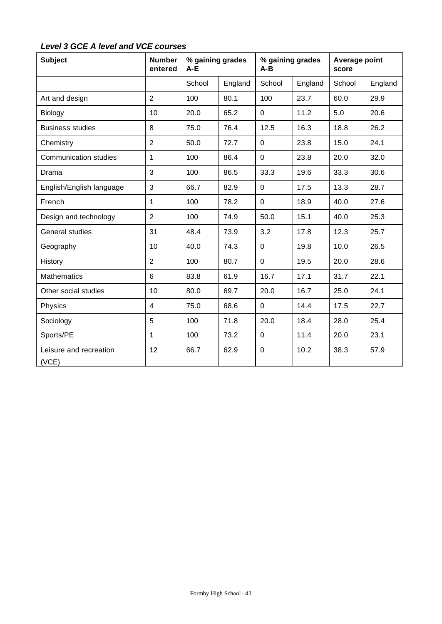| Level 3 GCE A level and VCE courses |  |  |
|-------------------------------------|--|--|
|-------------------------------------|--|--|

| <b>Subject</b>                  | <b>Number</b><br>entered | % gaining grades<br>$A-E$ |         | % gaining grades<br>A-B |         | Average point<br>score |         |
|---------------------------------|--------------------------|---------------------------|---------|-------------------------|---------|------------------------|---------|
|                                 |                          | School                    | England | School                  | England | School                 | England |
| Art and design                  | $\overline{2}$           | 100                       | 80.1    | 100                     | 23.7    | 60.0                   | 29.9    |
| Biology                         | 10                       | 20.0                      | 65.2    | $\mathbf 0$             | 11.2    | 5.0                    | 20.6    |
| <b>Business studies</b>         | 8                        | 75.0                      | 76.4    | 12.5                    | 16.3    | 18.8                   | 26.2    |
| Chemistry                       | $\overline{2}$           | 50.0                      | 72.7    | $\overline{0}$          | 23.8    | 15.0                   | 24.1    |
| <b>Communication studies</b>    | 1                        | 100                       | 86.4    | $\mathbf 0$             | 23.8    | 20.0                   | 32.0    |
| Drama                           | 3                        | 100                       | 86.5    | 33.3                    | 19.6    | 33.3                   | 30.6    |
| English/English language        | 3                        | 66.7                      | 82.9    | $\mathbf 0$             | 17.5    | 13.3                   | 28.7    |
| French                          | 1                        | 100                       | 78.2    | $\overline{0}$          | 18.9    | 40.0                   | 27.6    |
| Design and technology           | $\overline{2}$           | 100                       | 74.9    | 50.0                    | 15.1    | 40.0                   | 25.3    |
| General studies                 | 31                       | 48.4                      | 73.9    | 3.2                     | 17.8    | 12.3                   | 25.7    |
| Geography                       | 10                       | 40.0                      | 74.3    | $\mathbf 0$             | 19.8    | 10.0                   | 26.5    |
| History                         | $\overline{2}$           | 100                       | 80.7    | $\overline{0}$          | 19.5    | 20.0                   | 28.6    |
| <b>Mathematics</b>              | 6                        | 83.8                      | 61.9    | 16.7                    | 17.1    | 31.7                   | 22.1    |
| Other social studies            | 10                       | 80.0                      | 69.7    | 20.0                    | 16.7    | 25.0                   | 24.1    |
| Physics                         | $\overline{4}$           | 75.0                      | 68.6    | $\mathbf 0$             | 14.4    | 17.5                   | 22.7    |
| Sociology                       | 5                        | 100                       | 71.8    | 20.0                    | 18.4    | 28.0                   | 25.4    |
| Sports/PE                       | 1                        | 100                       | 73.2    | 0                       | 11.4    | 20.0                   | 23.1    |
| Leisure and recreation<br>(VCE) | 12                       | 66.7                      | 62.9    | $\mathbf 0$             | 10.2    | 38.3                   | 57.9    |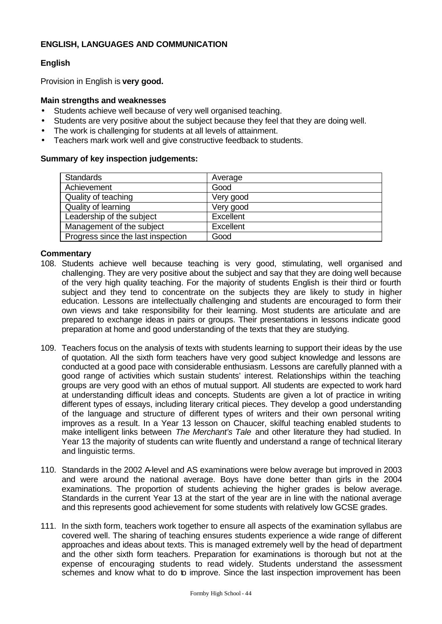## **ENGLISH, LANGUAGES AND COMMUNICATION**

## **English**

Provision in English is **very good.**

## **Main strengths and weaknesses**

- Students achieve well because of very well organised teaching.
- Students are very positive about the subject because they feel that they are doing well.
- The work is challenging for students at all levels of attainment.
- Teachers mark work well and give constructive feedback to students.

## **Summary of key inspection judgements:**

| <b>Standards</b>                   | Average   |
|------------------------------------|-----------|
| Achievement                        | Good      |
| Quality of teaching                | Very good |
| Quality of learning                | Very good |
| Leadership of the subject          | Excellent |
| Management of the subject          | Excellent |
| Progress since the last inspection | Good      |

- 108. Students achieve well because teaching is very good, stimulating, well organised and challenging. They are very positive about the subject and say that they are doing well because of the very high quality teaching. For the majority of students English is their third or fourth subject and they tend to concentrate on the subjects they are likely to study in higher education. Lessons are intellectually challenging and students are encouraged to form their own views and take responsibility for their learning. Most students are articulate and are prepared to exchange ideas in pairs or groups. Their presentations in lessons indicate good preparation at home and good understanding of the texts that they are studying.
- 109. Teachers focus on the analysis of texts with students learning to support their ideas by the use of quotation. All the sixth form teachers have very good subject knowledge and lessons are conducted at a good pace with considerable enthusiasm. Lessons are carefully planned with a good range of activities which sustain students' interest. Relationships within the teaching groups are very good with an ethos of mutual support. All students are expected to work hard at understanding difficult ideas and concepts. Students are given a lot of practice in writing different types of essays, including literary critical pieces. They develop a good understanding of the language and structure of different types of writers and their own personal writing improves as a result. In a Year 13 lesson on Chaucer, skilful teaching enabled students to make intelligent links between *The Merchant's Tale* and other literature they had studied. In Year 13 the majority of students can write fluently and understand a range of technical literary and linguistic terms.
- 110. Standards in the 2002 A-level and AS examinations were below average but improved in 2003 and were around the national average. Boys have done better than girls in the 2004 examinations. The proportion of students achieving the higher grades is below average. Standards in the current Year 13 at the start of the year are in line with the national average and this represents good achievement for some students with relatively low GCSE grades.
- 111. In the sixth form, teachers work together to ensure all aspects of the examination syllabus are covered well. The sharing of teaching ensures students experience a wide range of different approaches and ideas about texts. This is managed extremely well by the head of department and the other sixth form teachers. Preparation for examinations is thorough but not at the expense of encouraging students to read widely. Students understand the assessment schemes and know what to do to improve. Since the last inspection improvement has been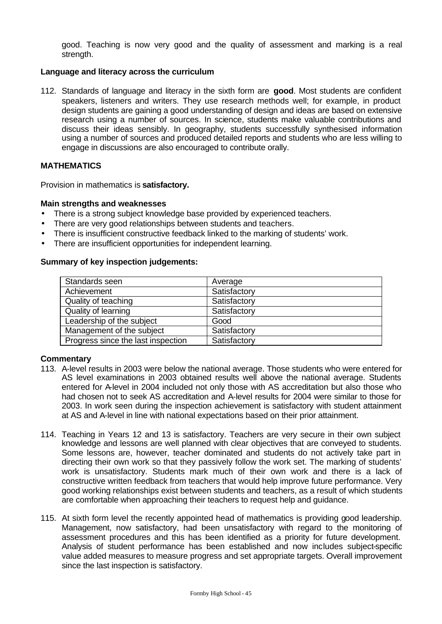good. Teaching is now very good and the quality of assessment and marking is a real strength.

## **Language and literacy across the curriculum**

112. Standards of language and literacy in the sixth form are **good**. Most students are confident speakers, listeners and writers. They use research methods well; for example, in product design students are gaining a good understanding of design and ideas are based on extensive research using a number of sources. In science, students make valuable contributions and discuss their ideas sensibly. In geography, students successfully synthesised information using a number of sources and produced detailed reports and students who are less willing to engage in discussions are also encouraged to contribute orally.

## **MATHEMATICS**

Provision in mathematics is **satisfactory.**

#### **Main strengths and weaknesses**

- There is a strong subject knowledge base provided by experienced teachers.
- There are very good relationships between students and teachers.
- There is insufficient constructive feedback linked to the marking of students' work.
- There are insufficient opportunities for independent learning.

#### **Summary of key inspection judgements:**

| Standards seen                     | Average      |
|------------------------------------|--------------|
| Achievement                        | Satisfactory |
| Quality of teaching                | Satisfactory |
| Quality of learning                | Satisfactory |
| Leadership of the subject          | Good         |
| Management of the subject          | Satisfactory |
| Progress since the last inspection | Satisfactory |

- 113. A-level results in 2003 were below the national average. Those students who were entered for AS level examinations in 2003 obtained results well above the national average. Students entered for A-level in 2004 included not only those with AS accreditation but also those who had chosen not to seek AS accreditation and A-level results for 2004 were similar to those for 2003. In work seen during the inspection achievement is satisfactory with student attainment at AS and A-level in line with national expectations based on their prior attainment.
- 114. Teaching in Years 12 and 13 is satisfactory. Teachers are very secure in their own subject knowledge and lessons are well planned with clear objectives that are conveyed to students. Some lessons are, however, teacher dominated and students do not actively take part in directing their own work so that they passively follow the work set. The marking of students' work is unsatisfactory. Students mark much of their own work and there is a lack of constructive written feedback from teachers that would help improve future performance. Very good working relationships exist between students and teachers, as a result of which students are comfortable when approaching their teachers to request help and guidance.
- 115. At sixth form level the recently appointed head of mathematics is providing good leadership. Management, now satisfactory, had been unsatisfactory with regard to the monitoring of assessment procedures and this has been identified as a priority for future development. Analysis of student performance has been established and now includes subject-specific value added measures to measure progress and set appropriate targets. Overall improvement since the last inspection is satisfactory.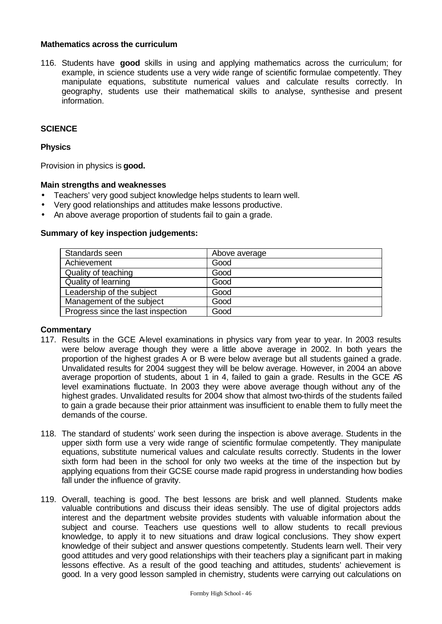## **Mathematics across the curriculum**

116. Students have **good** skills in using and applying mathematics across the curriculum; for example, in science students use a very wide range of scientific formulae competently. They manipulate equations, substitute numerical values and calculate results correctly. In geography, students use their mathematical skills to analyse, synthesise and present information.

## **SCIENCE**

#### **Physics**

Provision in physics is **good.**

#### **Main strengths and weaknesses**

- Teachers' very good subject knowledge helps students to learn well.
- Very good relationships and attitudes make lessons productive.
- An above average proportion of students fail to gain a grade.

#### **Summary of key inspection judgements:**

| Standards seen                     | Above average |
|------------------------------------|---------------|
| Achievement                        | Good          |
| Quality of teaching                | Good          |
| Quality of learning                | Good          |
| Leadership of the subject          | Good          |
| Management of the subject          | Good          |
| Progress since the last inspection | Good          |

- 117. Results in the GCE Alevel examinations in physics vary from year to year. In 2003 results were below average though they were a little above average in 2002. In both years the proportion of the highest grades A or B were below average but all students gained a grade. Unvalidated results for 2004 suggest they will be below average. However, in 2004 an above average proportion of students, about 1 in 4, failed to gain a grade. Results in the GCE AS level examinations fluctuate. In 2003 they were above average though without any of the highest grades. Unvalidated results for 2004 show that almost two-thirds of the students failed to gain a grade because their prior attainment was insufficient to enable them to fully meet the demands of the course.
- 118. The standard of students' work seen during the inspection is above average. Students in the upper sixth form use a very wide range of scientific formulae competently. They manipulate equations, substitute numerical values and calculate results correctly. Students in the lower sixth form had been in the school for only two weeks at the time of the inspection but by applying equations from their GCSE course made rapid progress in understanding how bodies fall under the influence of gravity.
- 119. Overall, teaching is good. The best lessons are brisk and well planned. Students make valuable contributions and discuss their ideas sensibly. The use of digital projectors adds interest and the department website provides students with valuable information about the subject and course. Teachers use questions well to allow students to recall previous knowledge, to apply it to new situations and draw logical conclusions. They show expert knowledge of their subject and answer questions competently. Students learn well. Their very good attitudes and very good relationships with their teachers play a significant part in making lessons effective. As a result of the good teaching and attitudes, students' achievement is good. In a very good lesson sampled in chemistry, students were carrying out calculations on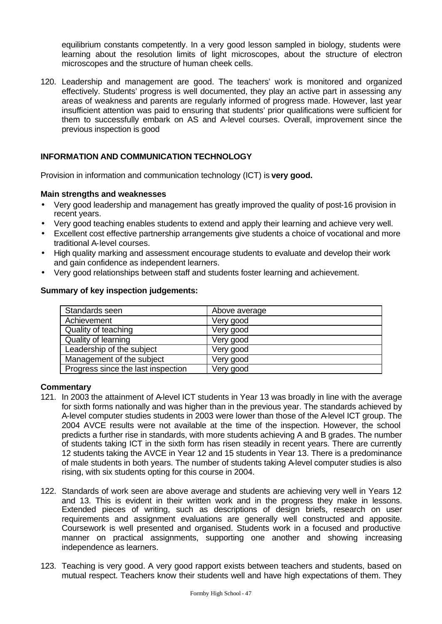equilibrium constants competently. In a very good lesson sampled in biology, students were learning about the resolution limits of light microscopes, about the structure of electron microscopes and the structure of human cheek cells.

120. Leadership and management are good. The teachers' work is monitored and organized effectively. Students' progress is well documented, they play an active part in assessing any areas of weakness and parents are regularly informed of progress made. However, last year insufficient attention was paid to ensuring that students' prior qualifications were sufficient for them to successfully embark on AS and A-level courses. Overall, improvement since the previous inspection is good

## **INFORMATION AND COMMUNICATION TECHNOLOGY**

Provision in information and communication technology (ICT) is **very good.**

#### **Main strengths and weaknesses**

- Very good leadership and management has greatly improved the quality of post-16 provision in recent years.
- Very good teaching enables students to extend and apply their learning and achieve very well.
- Excellent cost effective partnership arrangements give students a choice of vocational and more traditional A-level courses.
- High quality marking and assessment encourage students to evaluate and develop their work and gain confidence as independent learners.
- Very good relationships between staff and students foster learning and achievement.

#### **Summary of key inspection judgements:**

| Standards seen                     | Above average |
|------------------------------------|---------------|
| Achievement                        | Very good     |
| Quality of teaching                | Very good     |
| Quality of learning                | Very good     |
| Leadership of the subject          | Very good     |
| Management of the subject          | Very good     |
| Progress since the last inspection | Very good     |

- 121. In 2003 the attainment of A-level ICT students in Year 13 was broadly in line with the average for sixth forms nationally and was higher than in the previous year. The standards achieved by A-level computer studies students in 2003 were lower than those of the A-level ICT group. The 2004 AVCE results were not available at the time of the inspection. However, the school predicts a further rise in standards, with more students achieving A and B grades. The number of students taking ICT in the sixth form has risen steadily in recent years. There are currently 12 students taking the AVCE in Year 12 and 15 students in Year 13. There is a predominance of male students in both years. The number of students taking A-level computer studies is also rising, with six students opting for this course in 2004.
- 122. Standards of work seen are above average and students are achieving very well in Years 12 and 13. This is evident in their written work and in the progress they make in lessons. Extended pieces of writing, such as descriptions of design briefs, research on user requirements and assignment evaluations are generally well constructed and apposite. Coursework is well presented and organised. Students work in a focused and productive manner on practical assignments, supporting one another and showing increasing independence as learners.
- 123. Teaching is very good. A very good rapport exists between teachers and students, based on mutual respect. Teachers know their students well and have high expectations of them. They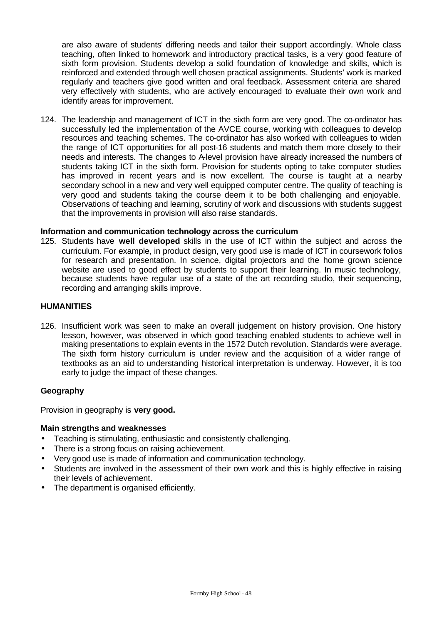are also aware of students' differing needs and tailor their support accordingly. Whole class teaching, often linked to homework and introductory practical tasks, is a very good feature of sixth form provision. Students develop a solid foundation of knowledge and skills, which is reinforced and extended through well chosen practical assignments. Students' work is marked regularly and teachers give good written and oral feedback. Assessment criteria are shared very effectively with students, who are actively encouraged to evaluate their own work and identify areas for improvement.

124. The leadership and management of ICT in the sixth form are very good. The co-ordinator has successfully led the implementation of the AVCE course, working with colleagues to develop resources and teaching schemes. The co-ordinator has also worked with colleagues to widen the range of ICT opportunities for all post-16 students and match them more closely to their needs and interests. The changes to A-level provision have already increased the numbers of students taking ICT in the sixth form. Provision for students opting to take computer studies has improved in recent years and is now excellent. The course is taught at a nearby secondary school in a new and very well equipped computer centre. The quality of teaching is very good and students taking the course deem it to be both challenging and enjoyable. Observations of teaching and learning, scrutiny of work and discussions with students suggest that the improvements in provision will also raise standards.

#### **Information and communication technology across the curriculum**

125. Students have **well developed** skills in the use of ICT within the subject and across the curriculum. For example, in product design, very good use is made of ICT in coursework folios for research and presentation. In science, digital projectors and the home grown science website are used to good effect by students to support their learning. In music technology, because students have regular use of a state of the art recording studio, their sequencing, recording and arranging skills improve.

#### **HUMANITIES**

126. Insufficient work was seen to make an overall judgement on history provision. One history lesson, however, was observed in which good teaching enabled students to achieve well in making presentations to explain events in the 1572 Dutch revolution. Standards were average. The sixth form history curriculum is under review and the acquisition of a wider range of textbooks as an aid to understanding historical interpretation is underway. However, it is too early to judge the impact of these changes.

#### **Geography**

Provision in geography is **very good.**

## **Main strengths and weaknesses**

- Teaching is stimulating, enthusiastic and consistently challenging.
- There is a strong focus on raising achievement.
- Very good use is made of information and communication technology.
- Students are involved in the assessment of their own work and this is highly effective in raising their levels of achievement.
- The department is organised efficiently.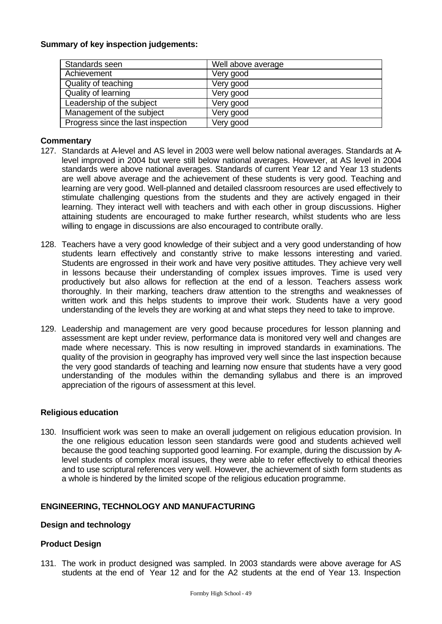#### **Summary of key inspection judgements:**

| Standards seen                     | Well above average |
|------------------------------------|--------------------|
| Achievement                        | Very good          |
| Quality of teaching                | Very good          |
| Quality of learning                | Very good          |
| Leadership of the subject          | Very good          |
| Management of the subject          | Very good          |
| Progress since the last inspection | Very good          |

## **Commentary**

- 127. Standards at A-level and AS level in 2003 were well below national averages. Standards at Alevel improved in 2004 but were still below national averages. However, at AS level in 2004 standards were above national averages. Standards of current Year 12 and Year 13 students are well above average and the achievement of these students is very good. Teaching and learning are very good. Well-planned and detailed classroom resources are used effectively to stimulate challenging questions from the students and they are actively engaged in their learning. They interact well with teachers and with each other in group discussions. Higher attaining students are encouraged to make further research, whilst students who are less willing to engage in discussions are also encouraged to contribute orally.
- 128. Teachers have a very good knowledge of their subject and a very good understanding of how students learn effectively and constantly strive to make lessons interesting and varied. Students are engrossed in their work and have very positive attitudes. They achieve very well in lessons because their understanding of complex issues improves. Time is used very productively but also allows for reflection at the end of a lesson. Teachers assess work thoroughly. In their marking, teachers draw attention to the strengths and weaknesses of written work and this helps students to improve their work. Students have a very good understanding of the levels they are working at and what steps they need to take to improve.
- 129. Leadership and management are very good because procedures for lesson planning and assessment are kept under review, performance data is monitored very well and changes are made where necessary. This is now resulting in improved standards in examinations. The quality of the provision in geography has improved very well since the last inspection because the very good standards of teaching and learning now ensure that students have a very good understanding of the modules within the demanding syllabus and there is an improved appreciation of the rigours of assessment at this level.

## **Religious education**

130. Insufficient work was seen to make an overall judgement on religious education provision. In the one religious education lesson seen standards were good and students achieved well because the good teaching supported good learning. For example, during the discussion by Alevel students of complex moral issues, they were able to refer effectively to ethical theories and to use scriptural references very well. However, the achievement of sixth form students as a whole is hindered by the limited scope of the religious education programme.

## **ENGINEERING, TECHNOLOGY AND MANUFACTURING**

## **Design and technology**

## **Product Design**

131. The work in product designed was sampled. In 2003 standards were above average for AS students at the end of Year 12 and for the A2 students at the end of Year 13. Inspection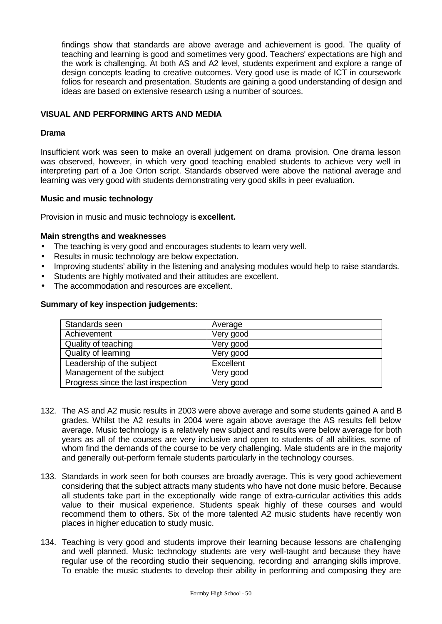findings show that standards are above average and achievement is good. The quality of teaching and learning is good and sometimes very good. Teachers' expectations are high and the work is challenging. At both AS and A2 level, students experiment and explore a range of design concepts leading to creative outcomes. Very good use is made of ICT in coursework folios for research and presentation. Students are gaining a good understanding of design and ideas are based on extensive research using a number of sources.

## **VISUAL AND PERFORMING ARTS AND MEDIA**

#### **Drama**

Insufficient work was seen to make an overall judgement on drama provision. One drama lesson was observed, however, in which very good teaching enabled students to achieve very well in interpreting part of a Joe Orton script. Standards observed were above the national average and learning was very good with students demonstrating very good skills in peer evaluation.

#### **Music and music technology**

Provision in music and music technology is **excellent.**

#### **Main strengths and weaknesses**

- The teaching is very good and encourages students to learn very well.
- Results in music technology are below expectation.
- Improving students' ability in the listening and analysing modules would help to raise standards.
- Students are highly motivated and their attitudes are excellent.
- The accommodation and resources are excellent.

#### **Summary of key inspection judgements:**

| Standards seen                     | Average   |
|------------------------------------|-----------|
| Achievement                        | Very good |
| Quality of teaching                | Very good |
| <b>Quality of learning</b>         | Very good |
| Leadership of the subject          | Excellent |
| Management of the subject          | Very good |
| Progress since the last inspection | Very good |

- 132. The AS and A2 music results in 2003 were above average and some students gained A and B grades. Whilst the A2 results in 2004 were again above average the AS results fell below average. Music technology is a relatively new subject and results were below average for both years as all of the courses are very inclusive and open to students of all abilities, some of whom find the demands of the course to be very challenging. Male students are in the majority and generally out-perform female students particularly in the technology courses.
- 133. Standards in work seen for both courses are broadly average. This is very good achievement considering that the subject attracts many students who have not done music before. Because all students take part in the exceptionally wide range of extra-curricular activities this adds value to their musical experience. Students speak highly of these courses and would recommend them to others. Six of the more talented A2 music students have recently won places in higher education to study music.
- 134. Teaching is very good and students improve their learning because lessons are challenging and well planned. Music technology students are very well-taught and because they have regular use of the recording studio their sequencing, recording and arranging skills improve. To enable the music students to develop their ability in performing and composing they are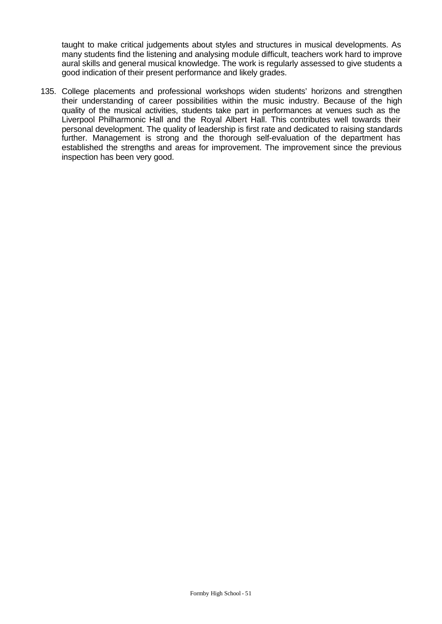taught to make critical judgements about styles and structures in musical developments. As many students find the listening and analysing module difficult, teachers work hard to improve aural skills and general musical knowledge. The work is regularly assessed to give students a good indication of their present performance and likely grades.

135. College placements and professional workshops widen students' horizons and strengthen their understanding of career possibilities within the music industry. Because of the high quality of the musical activities, students take part in performances at venues such as the Liverpool Philharmonic Hall and the Royal Albert Hall. This contributes well towards their personal development. The quality of leadership is first rate and dedicated to raising standards further. Management is strong and the thorough self-evaluation of the department has established the strengths and areas for improvement. The improvement since the previous inspection has been very good.